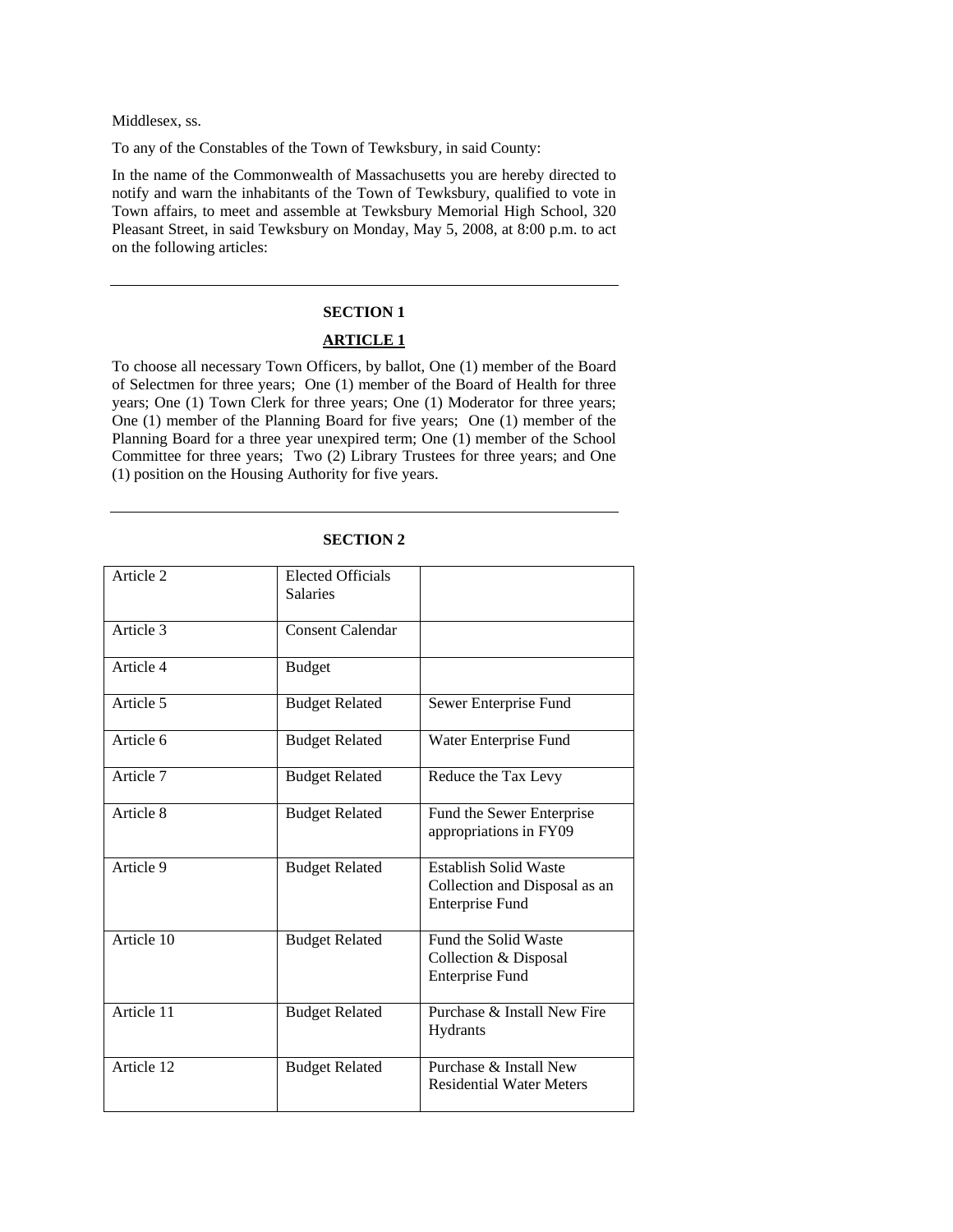Middlesex, ss.

To any of the Constables of the Town of Tewksbury, in said County:

In the name of the Commonwealth of Massachusetts you are hereby directed to notify and warn the inhabitants of the Town of Tewksbury, qualified to vote in Town affairs, to meet and assemble at Tewksbury Memorial High School, 320 Pleasant Street, in said Tewksbury on Monday, May 5, 2008, at 8:00 p.m. to act on the following articles:

### **SECTION 1**

#### **ARTICLE 1**

To choose all necessary Town Officers, by ballot, One (1) member of the Board of Selectmen for three years; One (1) member of the Board of Health for three years; One (1) Town Clerk for three years; One (1) Moderator for three years; One (1) member of the Planning Board for five years; One (1) member of the Planning Board for a three year unexpired term; One (1) member of the School Committee for three years; Two (2) Library Trustees for three years; and One (1) position on the Housing Authority for five years.

| Article 2              | <b>Elected Officials</b><br><b>Salaries</b> |                                                                                         |
|------------------------|---------------------------------------------|-----------------------------------------------------------------------------------------|
| Article 3              | <b>Consent Calendar</b>                     |                                                                                         |
| Article 4              | <b>Budget</b>                               |                                                                                         |
| Article $\overline{5}$ | <b>Budget Related</b>                       | Sewer Enterprise Fund                                                                   |
| Article 6              | <b>Budget Related</b>                       | Water Enterprise Fund                                                                   |
| Article 7              | <b>Budget Related</b>                       | Reduce the Tax Levy                                                                     |
| Article 8              | <b>Budget Related</b>                       | Fund the Sewer Enterprise<br>appropriations in FY09                                     |
| Article 9              | <b>Budget Related</b>                       | <b>Establish Solid Waste</b><br>Collection and Disposal as an<br><b>Enterprise Fund</b> |
| Article 10             | <b>Budget Related</b>                       | Fund the Solid Waste<br>Collection & Disposal<br><b>Enterprise Fund</b>                 |
| Article 11             | <b>Budget Related</b>                       | Purchase & Install New Fire<br><b>Hydrants</b>                                          |
| Article 12             | <b>Budget Related</b>                       | Purchase & Install New<br><b>Residential Water Meters</b>                               |

## **SECTION 2**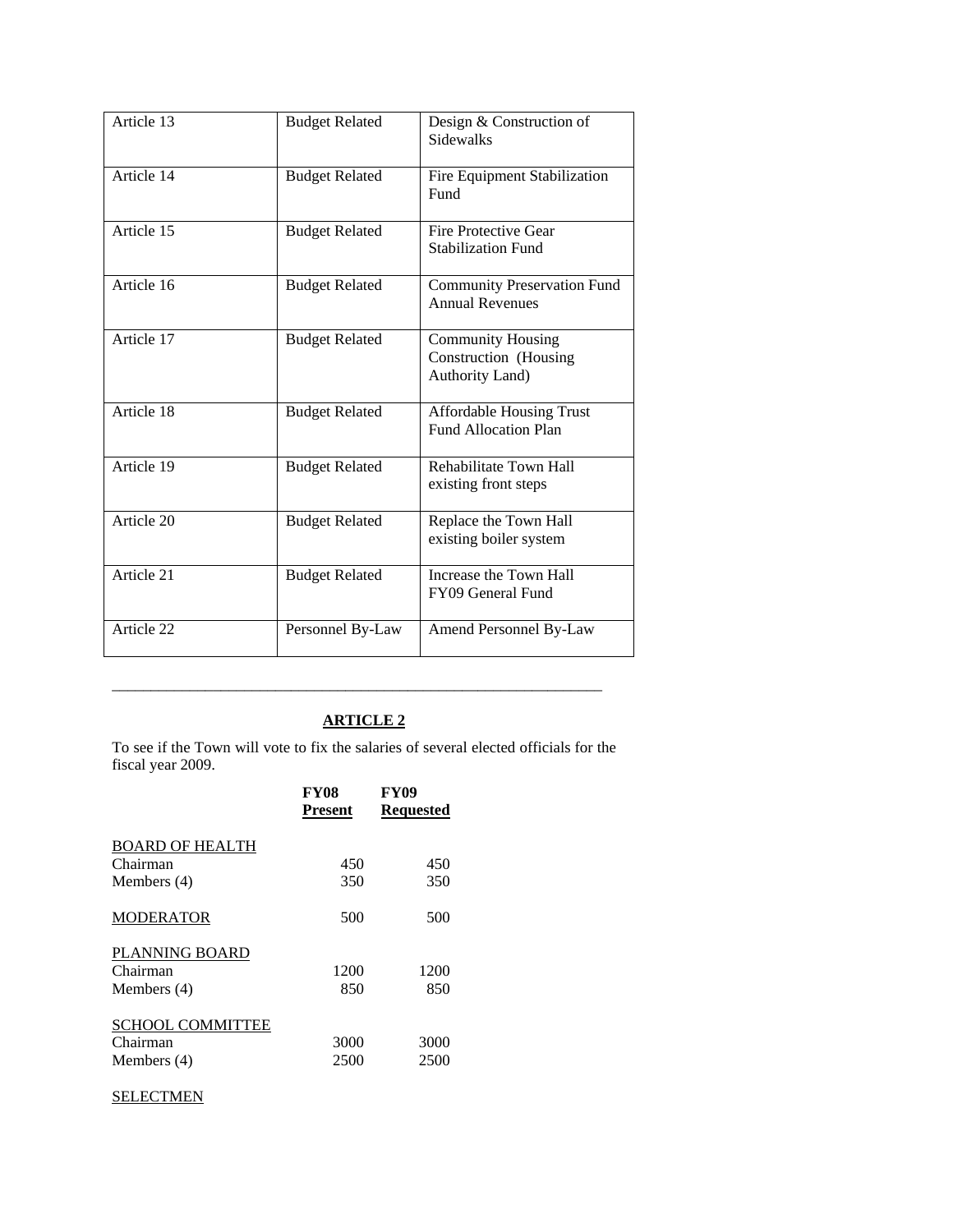| Article 13 | <b>Budget Related</b> | Design & Construction of<br><b>Sidewalks</b>                         |
|------------|-----------------------|----------------------------------------------------------------------|
| Article 14 | <b>Budget Related</b> | Fire Equipment Stabilization<br>Fund                                 |
| Article 15 | <b>Budget Related</b> | Fire Protective Gear<br><b>Stabilization Fund</b>                    |
| Article 16 | <b>Budget Related</b> | <b>Community Preservation Fund</b><br><b>Annual Revenues</b>         |
| Article 17 | <b>Budget Related</b> | <b>Community Housing</b><br>Construction (Housing<br>Authority Land) |
| Article 18 | <b>Budget Related</b> | <b>Affordable Housing Trust</b><br><b>Fund Allocation Plan</b>       |
| Article 19 | <b>Budget Related</b> | Rehabilitate Town Hall<br>existing front steps                       |
| Article 20 | <b>Budget Related</b> | Replace the Town Hall<br>existing boiler system                      |
| Article 21 | <b>Budget Related</b> | Increase the Town Hall<br>FY09 General Fund                          |
| Article 22 | Personnel By-Law      | Amend Personnel By-Law                                               |

\_\_\_\_\_\_\_\_\_\_\_\_\_\_\_\_\_\_\_\_\_\_\_\_\_\_\_\_\_\_\_\_\_\_\_\_\_\_\_\_\_\_\_\_\_\_\_\_\_\_\_\_\_\_\_\_\_\_\_\_\_\_\_

To see if the Town will vote to fix the salaries of several elected officials for the fiscal year 2009.

| <b>FY08</b> | <b>FY09</b>      |
|-------------|------------------|
|             | <b>Requested</b> |
|             |                  |
| 450         | 450              |
| 350         | 350              |
| 500         | 500              |
|             |                  |
| 1200        | 1200             |
| 850         | 850              |
|             |                  |
| 3000        | 3000             |
| 2500        | 2500             |
|             | <b>Present</b>   |

### **SELECTMEN**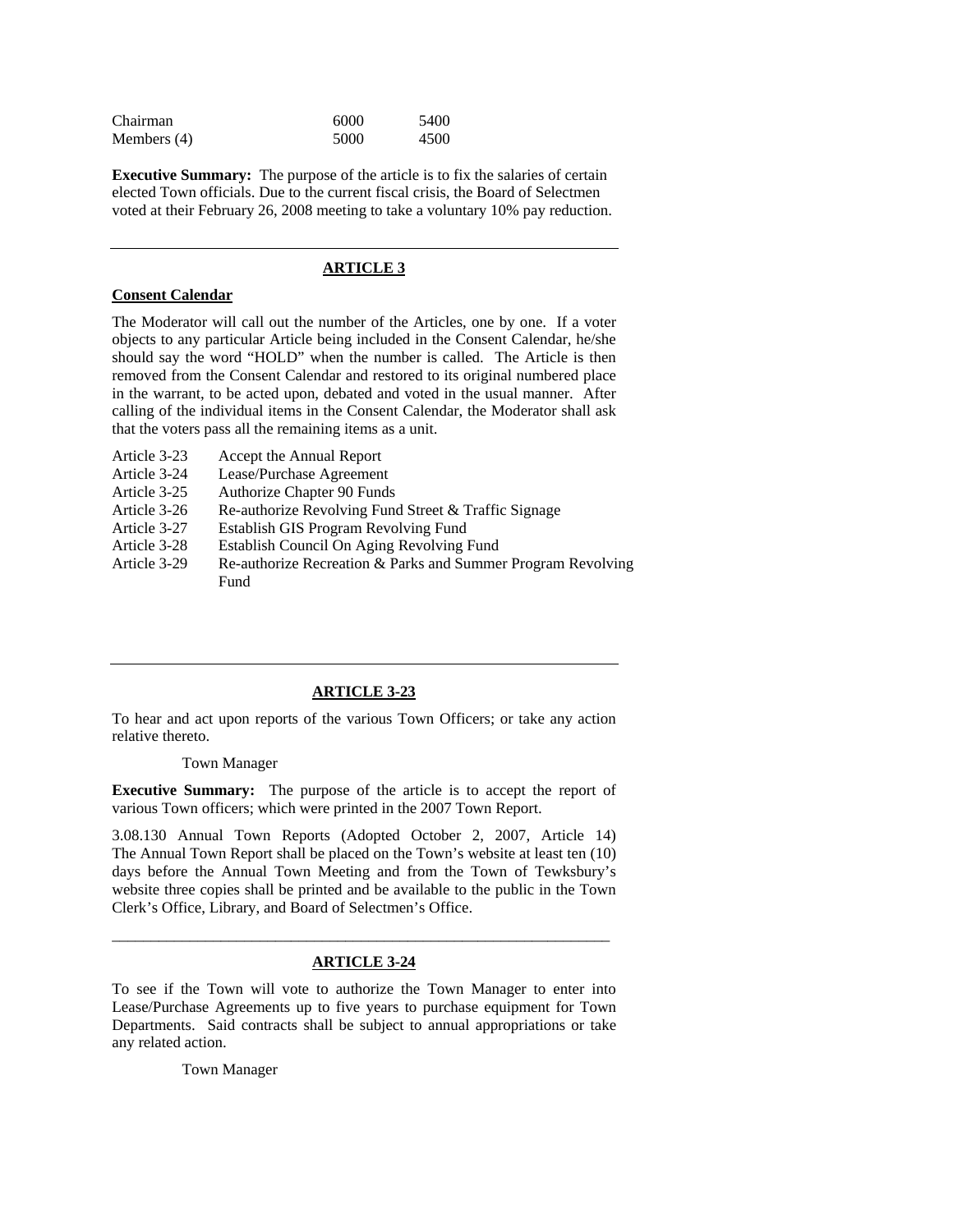| Chairman    | 6000 | 5400 |
|-------------|------|------|
| Members (4) | 5000 | 4500 |

**Executive Summary:** The purpose of the article is to fix the salaries of certain elected Town officials. Due to the current fiscal crisis, the Board of Selectmen voted at their February 26, 2008 meeting to take a voluntary 10% pay reduction.

### **ARTICLE 3**

#### **Consent Calendar**

The Moderator will call out the number of the Articles, one by one. If a voter objects to any particular Article being included in the Consent Calendar, he/she should say the word "HOLD" when the number is called. The Article is then removed from the Consent Calendar and restored to its original numbered place in the warrant, to be acted upon, debated and voted in the usual manner. After calling of the individual items in the Consent Calendar, the Moderator shall ask that the voters pass all the remaining items as a unit.

- Article 3-23 Accept the Annual Report
- Article 3-24 Lease/Purchase Agreement
- Article 3-25 Authorize Chapter 90 Funds
- Article 3-26 Re-authorize Revolving Fund Street & Traffic Signage
- Article 3-27 Establish GIS Program Revolving Fund
- Article 3-28 Establish Council On Aging Revolving Fund

Article 3-29 Re-authorize Recreation & Parks and Summer Program Revolving Fund

## **ARTICLE 3-23**

To hear and act upon reports of the various Town Officers; or take any action relative thereto.

#### Town Manager

**Executive Summary:** The purpose of the article is to accept the report of various Town officers; which were printed in the 2007 Town Report.

3.08.130 Annual Town Reports (Adopted October 2, 2007, Article 14) The Annual Town Report shall be placed on the Town's website at least ten (10) days before the Annual Town Meeting and from the Town of Tewksbury's website three copies shall be printed and be available to the public in the Town Clerk's Office, Library, and Board of Selectmen's Office.

# \_\_\_\_\_\_\_\_\_\_\_\_\_\_\_\_\_\_\_\_\_\_\_\_\_\_\_\_\_\_\_\_\_\_\_\_\_\_\_\_\_\_\_\_\_\_\_\_\_\_\_\_\_\_\_\_\_\_\_\_\_\_\_\_ **ARTICLE 3-24**

To see if the Town will vote to authorize the Town Manager to enter into Lease/Purchase Agreements up to five years to purchase equipment for Town Departments. Said contracts shall be subject to annual appropriations or take any related action.

Town Manager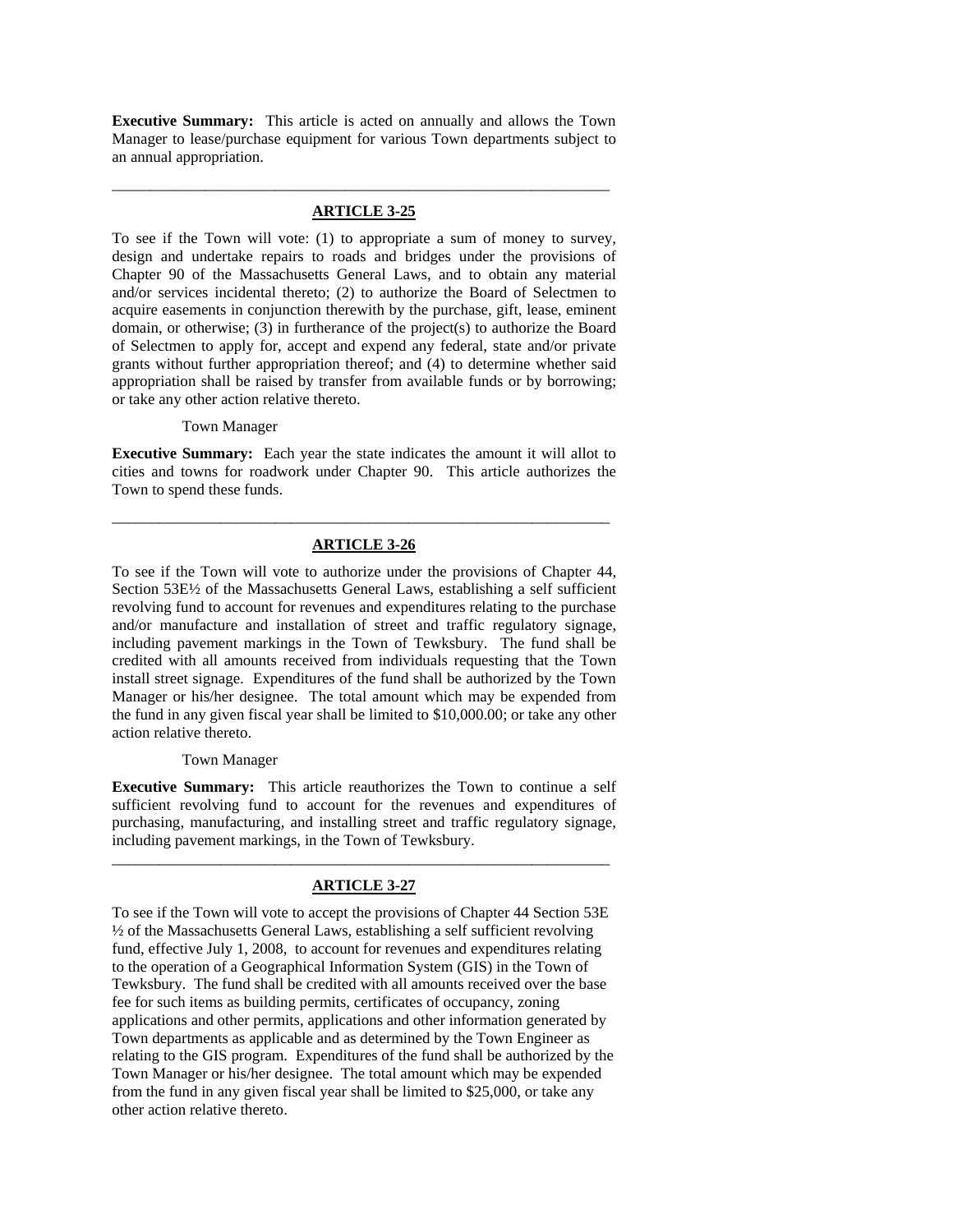**Executive Summary:** This article is acted on annually and allows the Town Manager to lease/purchase equipment for various Town departments subject to an annual appropriation.

# \_\_\_\_\_\_\_\_\_\_\_\_\_\_\_\_\_\_\_\_\_\_\_\_\_\_\_\_\_\_\_\_\_\_\_\_\_\_\_\_\_\_\_\_\_\_\_\_\_\_\_\_\_\_\_\_\_\_\_\_\_\_\_\_ **ARTICLE 3-25**

To see if the Town will vote: (1) to appropriate a sum of money to survey, design and undertake repairs to roads and bridges under the provisions of Chapter 90 of the Massachusetts General Laws, and to obtain any material and/or services incidental thereto; (2) to authorize the Board of Selectmen to acquire easements in conjunction therewith by the purchase, gift, lease, eminent domain, or otherwise; (3) in furtherance of the project(s) to authorize the Board of Selectmen to apply for, accept and expend any federal, state and/or private grants without further appropriation thereof; and (4) to determine whether said appropriation shall be raised by transfer from available funds or by borrowing; or take any other action relative thereto.

#### Town Manager

**Executive Summary:** Each year the state indicates the amount it will allot to cities and towns for roadwork under Chapter 90. This article authorizes the Town to spend these funds.

# \_\_\_\_\_\_\_\_\_\_\_\_\_\_\_\_\_\_\_\_\_\_\_\_\_\_\_\_\_\_\_\_\_\_\_\_\_\_\_\_\_\_\_\_\_\_\_\_\_\_\_\_\_\_\_\_\_\_\_\_\_\_\_\_ **ARTICLE 3-26**

To see if the Town will vote to authorize under the provisions of Chapter 44, Section 53E½ of the Massachusetts General Laws, establishing a self sufficient revolving fund to account for revenues and expenditures relating to the purchase and/or manufacture and installation of street and traffic regulatory signage, including pavement markings in the Town of Tewksbury. The fund shall be credited with all amounts received from individuals requesting that the Town install street signage. Expenditures of the fund shall be authorized by the Town Manager or his/her designee. The total amount which may be expended from the fund in any given fiscal year shall be limited to \$10,000.00; or take any other action relative thereto.

#### Town Manager

**Executive Summary:** This article reauthorizes the Town to continue a self sufficient revolving fund to account for the revenues and expenditures of purchasing, manufacturing, and installing street and traffic regulatory signage, including pavement markings, in the Town of Tewksbury.

# \_\_\_\_\_\_\_\_\_\_\_\_\_\_\_\_\_\_\_\_\_\_\_\_\_\_\_\_\_\_\_\_\_\_\_\_\_\_\_\_\_\_\_\_\_\_\_\_\_\_\_\_\_\_\_\_\_\_\_\_\_\_\_\_ **ARTICLE 3-27**

To see if the Town will vote to accept the provisions of Chapter 44 Section 53E ½ of the Massachusetts General Laws, establishing a self sufficient revolving fund, effective July 1, 2008, to account for revenues and expenditures relating to the operation of a Geographical Information System (GIS) in the Town of Tewksbury. The fund shall be credited with all amounts received over the base fee for such items as building permits, certificates of occupancy, zoning applications and other permits, applications and other information generated by Town departments as applicable and as determined by the Town Engineer as relating to the GIS program. Expenditures of the fund shall be authorized by the Town Manager or his/her designee. The total amount which may be expended from the fund in any given fiscal year shall be limited to \$25,000, or take any other action relative thereto.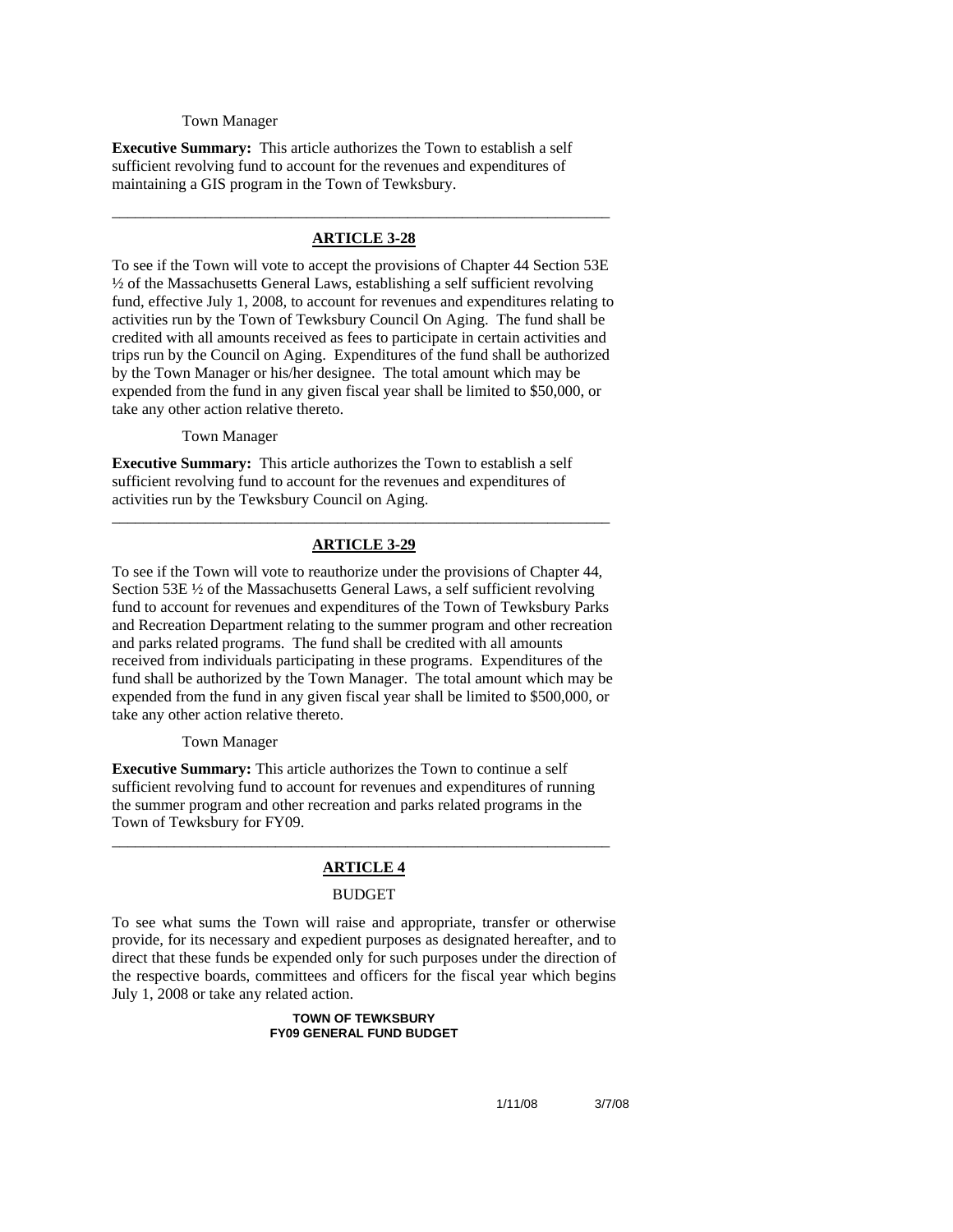#### Town Manager

**Executive Summary:** This article authorizes the Town to establish a self sufficient revolving fund to account for the revenues and expenditures of maintaining a GIS program in the Town of Tewksbury.

# \_\_\_\_\_\_\_\_\_\_\_\_\_\_\_\_\_\_\_\_\_\_\_\_\_\_\_\_\_\_\_\_\_\_\_\_\_\_\_\_\_\_\_\_\_\_\_\_\_\_\_\_\_\_\_\_\_\_\_\_\_\_\_\_ **ARTICLE 3-28**

To see if the Town will vote to accept the provisions of Chapter 44 Section 53E ½ of the Massachusetts General Laws, establishing a self sufficient revolving fund, effective July 1, 2008, to account for revenues and expenditures relating to activities run by the Town of Tewksbury Council On Aging. The fund shall be credited with all amounts received as fees to participate in certain activities and trips run by the Council on Aging. Expenditures of the fund shall be authorized by the Town Manager or his/her designee. The total amount which may be expended from the fund in any given fiscal year shall be limited to \$50,000, or take any other action relative thereto.

Town Manager

**Executive Summary:** This article authorizes the Town to establish a self sufficient revolving fund to account for the revenues and expenditures of activities run by the Tewksbury Council on Aging.

# \_\_\_\_\_\_\_\_\_\_\_\_\_\_\_\_\_\_\_\_\_\_\_\_\_\_\_\_\_\_\_\_\_\_\_\_\_\_\_\_\_\_\_\_\_\_\_\_\_\_\_\_\_\_\_\_\_\_\_\_\_\_\_\_ **ARTICLE 3-29**

To see if the Town will vote to reauthorize under the provisions of Chapter 44, Section 53E ½ of the Massachusetts General Laws, a self sufficient revolving fund to account for revenues and expenditures of the Town of Tewksbury Parks and Recreation Department relating to the summer program and other recreation and parks related programs. The fund shall be credited with all amounts received from individuals participating in these programs. Expenditures of the fund shall be authorized by the Town Manager. The total amount which may be expended from the fund in any given fiscal year shall be limited to \$500,000, or take any other action relative thereto.

#### Town Manager

**Executive Summary:** This article authorizes the Town to continue a self sufficient revolving fund to account for revenues and expenditures of running the summer program and other recreation and parks related programs in the Town of Tewksbury for FY09.

# \_\_\_\_\_\_\_\_\_\_\_\_\_\_\_\_\_\_\_\_\_\_\_\_\_\_\_\_\_\_\_\_\_\_\_\_\_\_\_\_\_\_\_\_\_\_\_\_\_\_\_\_\_\_\_\_\_\_\_\_\_\_\_\_ **ARTICLE 4**

#### BUDGET

To see what sums the Town will raise and appropriate, transfer or otherwise provide, for its necessary and expedient purposes as designated hereafter, and to direct that these funds be expended only for such purposes under the direction of the respective boards, committees and officers for the fiscal year which begins July 1, 2008 or take any related action.

#### **TOWN OF TEWKSBURY FY09 GENERAL FUND BUDGET**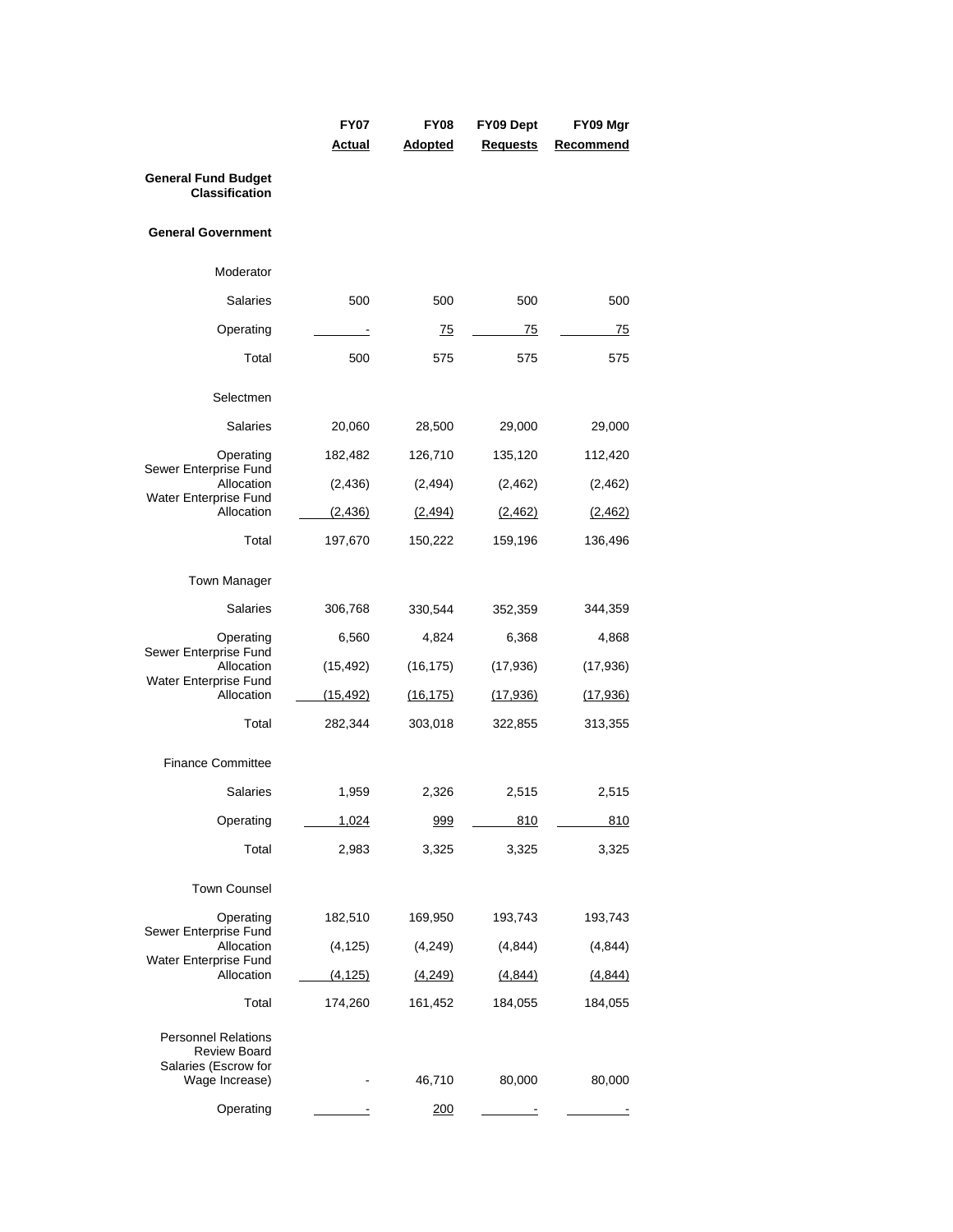|                                                                                             | <b>FY07</b> | FY08           | FY09 Dept       | FY09 Mgr        |
|---------------------------------------------------------------------------------------------|-------------|----------------|-----------------|-----------------|
|                                                                                             | Actual      | <b>Adopted</b> | <b>Requests</b> | Recommend       |
| <b>General Fund Budget</b><br><b>Classification</b>                                         |             |                |                 |                 |
| <b>General Government</b>                                                                   |             |                |                 |                 |
| Moderator                                                                                   |             |                |                 |                 |
| Salaries                                                                                    | 500         | 500            | 500             | 500             |
| Operating                                                                                   |             | <u>75</u>      | 75              | 75              |
| Total                                                                                       | 500         | 575            | 575             | 575             |
| Selectmen                                                                                   |             |                |                 |                 |
| <b>Salaries</b>                                                                             | 20,060      | 28,500         | 29,000          | 29,000          |
| Operating<br>Sewer Enterprise Fund                                                          | 182,482     | 126,710        | 135,120         | 112,420         |
| Allocation<br>Water Enterprise Fund                                                         | (2, 436)    | (2, 494)       | (2, 462)        | (2, 462)        |
| Allocation                                                                                  | (2, 436)    | (2, 494)       | (2,462)         | (2, 462)        |
| Total                                                                                       | 197,670     | 150,222        | 159,196         | 136,496         |
| <b>Town Manager</b>                                                                         |             |                |                 |                 |
| Salaries                                                                                    | 306,768     | 330,544        | 352,359         | 344,359         |
| Operating<br>Sewer Enterprise Fund                                                          | 6,560       | 4,824          | 6,368           | 4,868           |
| Allocation<br>Water Enterprise Fund                                                         | (15, 492)   | (16, 175)      | (17,936)        | (17,936)        |
| Allocation                                                                                  | (15, 492)   | (16, 175)      | (17,936)        | <u>(17,936)</u> |
| Total                                                                                       | 282,344     | 303,018        | 322,855         | 313,355         |
| <b>Finance Committee</b>                                                                    |             |                |                 |                 |
| Salaries                                                                                    | 1,959       | 2,326          | 2,515           | 2,515           |
| Operating                                                                                   | 1,024       | 999            | 810             | 810             |
| Total                                                                                       | 2,983       | 3,325          | 3,325           | 3,325           |
| <b>Town Counsel</b>                                                                         |             |                |                 |                 |
| Operating<br>Sewer Enterprise Fund                                                          | 182,510     | 169,950        | 193,743         | 193,743         |
| Allocation                                                                                  | (4, 125)    | (4,249)        | (4, 844)        | (4,844)         |
| Water Enterprise Fund<br>Allocation                                                         | (4, 125)    | (4,249)        | (4,844)         | (4,844)         |
| Total                                                                                       | 174,260     | 161,452        | 184,055         | 184,055         |
| <b>Personnel Relations</b><br><b>Review Board</b><br>Salaries (Escrow for<br>Wage Increase) |             | 46,710         | 80,000          | 80,000          |
| Operating                                                                                   |             | 200            |                 |                 |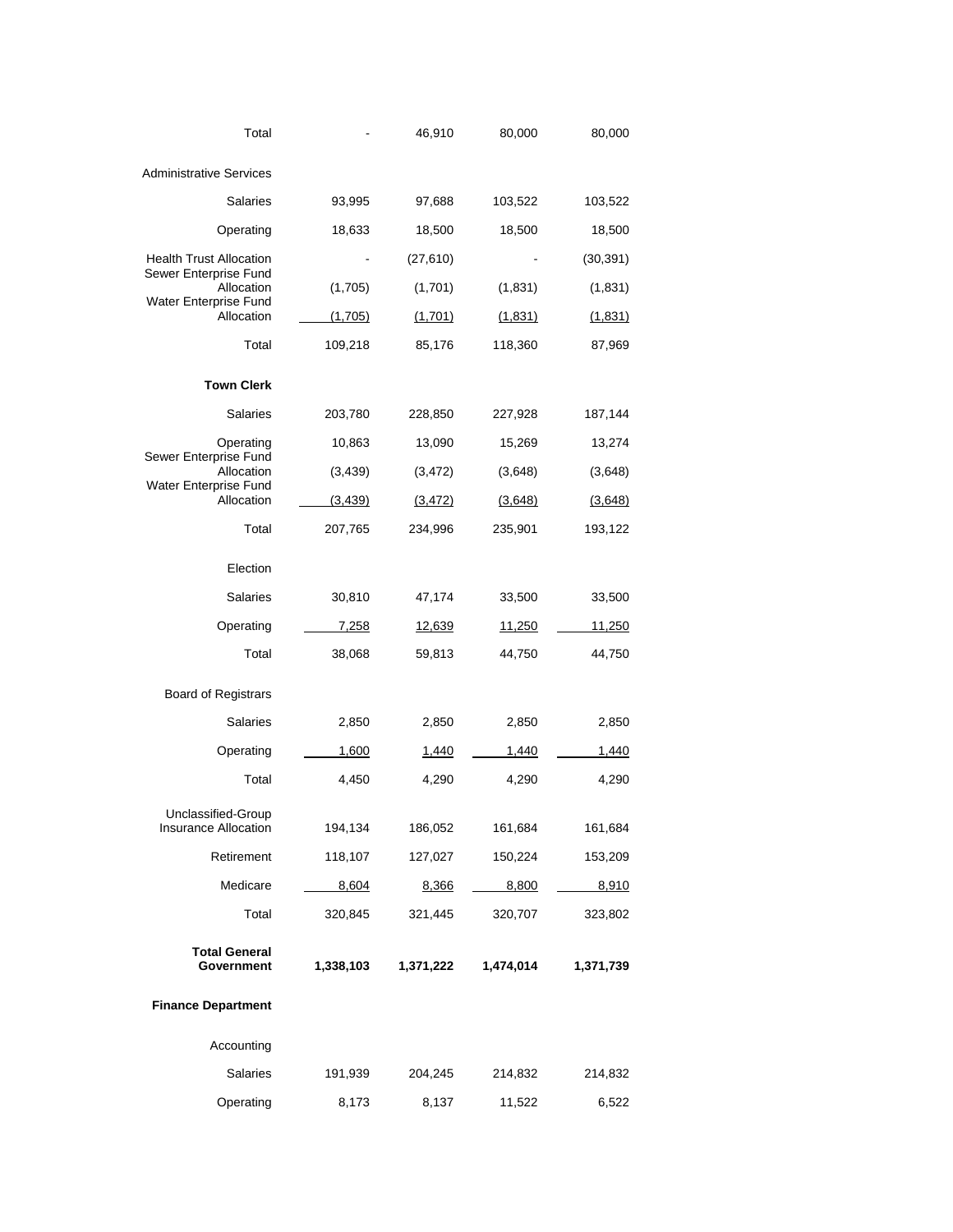| Total                                                        |                    | 46,910             | 80,000             | 80,000             |
|--------------------------------------------------------------|--------------------|--------------------|--------------------|--------------------|
| <b>Administrative Services</b>                               |                    |                    |                    |                    |
| <b>Salaries</b>                                              | 93,995             | 97,688             | 103,522            | 103,522            |
| Operating                                                    | 18,633             | 18,500             | 18,500             | 18,500             |
| <b>Health Trust Allocation</b>                               |                    | (27, 610)          |                    | (30, 391)          |
| Sewer Enterprise Fund<br>Allocation<br>Water Enterprise Fund | (1,705)            | (1,701)            | (1,831)            | (1,831)            |
| Allocation                                                   | (1,705)            | (1,701)            | (1,831)            | (1,831)            |
| Total                                                        | 109,218            | 85,176             | 118,360            | 87,969             |
| <b>Town Clerk</b>                                            |                    |                    |                    |                    |
| <b>Salaries</b>                                              | 203,780            | 228,850            | 227,928            | 187,144            |
| Operating                                                    | 10,863             | 13,090             | 15,269             | 13,274             |
| Sewer Enterprise Fund<br>Allocation                          | (3, 439)           | (3, 472)           | (3,648)            | (3,648)            |
| Water Enterprise Fund<br>Allocation                          | (3, 439)           | (3, 472)           | (3,648)            | <u>(3,648)</u>     |
| Total                                                        | 207,765            | 234,996            | 235,901            | 193,122            |
| Election                                                     |                    |                    |                    |                    |
| <b>Salaries</b>                                              | 30,810             | 47,174             | 33,500             | 33,500             |
| Operating                                                    | 7,258              | <u>12,639</u>      | <u>11,250</u>      | 11,250             |
| Total                                                        | 38,068             | 59,813             | 44,750             | 44,750             |
| <b>Board of Registrars</b>                                   |                    |                    |                    |                    |
| <b>Salaries</b>                                              | 2,850              | 2,850              | 2,850              | 2,850              |
| Operating                                                    | 1,600              | 1,440              | 1,440              | 1,440              |
| Total                                                        | 4,450              | 4,290              | 4,290              | 4,290              |
| Unclassified-Group<br>Insurance Allocation                   |                    |                    |                    |                    |
| Retirement                                                   | 194,134<br>118,107 | 186,052<br>127,027 | 161,684<br>150,224 | 161,684<br>153,209 |
| Medicare                                                     | 8,604              | 8,366              | 8,800              | 8,910              |
| Total                                                        | 320,845            | 321,445            | 320,707            | 323,802            |
|                                                              |                    |                    |                    |                    |
| <b>Total General</b><br>Government                           | 1,338,103          | 1,371,222          | 1,474,014          | 1,371,739          |
| <b>Finance Department</b>                                    |                    |                    |                    |                    |
| Accounting                                                   |                    |                    |                    |                    |
| Salaries                                                     | 191,939            | 204,245            | 214,832            | 214,832            |
| Operating                                                    | 8,173              | 8,137              | 11,522             | 6,522              |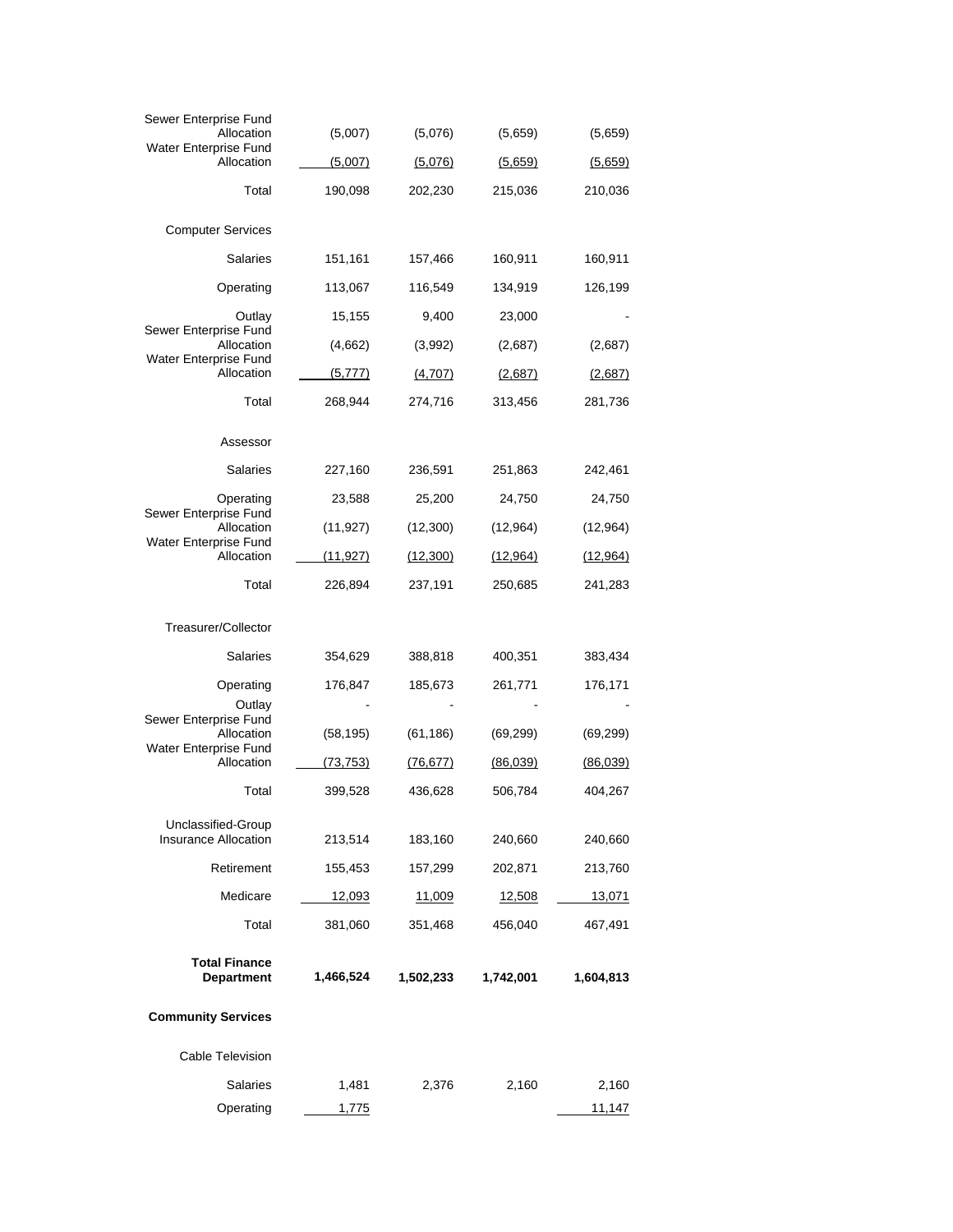| Sewer Enterprise Fund<br>Allocation               | (5,007)      | (5,076)   | (5,659)   | (5,659)   |
|---------------------------------------------------|--------------|-----------|-----------|-----------|
| Water Enterprise Fund<br>Allocation               | (5,007)      | (5,076)   | (5,659)   | (5,659)   |
| Total                                             | 190,098      | 202,230   | 215,036   | 210,036   |
|                                                   |              |           |           |           |
| <b>Computer Services</b>                          |              |           |           |           |
| <b>Salaries</b>                                   | 151,161      | 157,466   | 160,911   | 160,911   |
| Operating                                         | 113,067      | 116,549   | 134.919   | 126,199   |
| Outlay<br>Sewer Enterprise Fund                   | 15,155       | 9,400     | 23,000    |           |
| Allocation<br>Water Enterprise Fund               | (4,662)      | (3,992)   | (2,687)   | (2,687)   |
| Allocation                                        | (5,777)      | (4,707)   | (2,687)   | (2,687)   |
| Total                                             | 268,944      | 274,716   | 313,456   | 281,736   |
| Assessor                                          |              |           |           |           |
| <b>Salaries</b>                                   | 227,160      | 236,591   | 251,863   | 242,461   |
| Operating<br>Sewer Enterprise Fund                | 23,588       | 25,200    | 24,750    | 24,750    |
| Allocation                                        | (11, 927)    | (12,300)  | (12,964)  | (12,964)  |
| Water Enterprise Fund<br>Allocation               | (11, 927)    | (12,300)  | (12, 964) | (12, 964) |
| Total                                             | 226,894      | 237,191   | 250,685   | 241,283   |
| Treasurer/Collector                               |              |           |           |           |
|                                                   |              |           |           |           |
| <b>Salaries</b>                                   | 354,629      | 388,818   | 400,351   | 383,434   |
| Operating<br>Outlay                               | 176,847      | 185,673   | 261,771   | 176,171   |
| Sewer Enterprise Fund<br>Allocation               | (58, 195)    | (61, 186) | (69, 299) | (69, 299) |
| Water Enterprise Fund<br>Allocation               | (73, 753)    | (76, 677) | (86,039)  | (86,039)  |
| Total                                             | 399,528      | 436,628   | 506,784   | 404,267   |
|                                                   |              |           |           |           |
| Unclassified-Group<br><b>Insurance Allocation</b> | 213,514      | 183,160   | 240,660   | 240,660   |
| Retirement                                        | 155,453      | 157,299   | 202,871   | 213,760   |
| Medicare                                          | 12,093       | 11,009    | 12,508    | 13,071    |
| Total                                             | 381,060      | 351,468   | 456,040   | 467,491   |
| <b>Total Finance</b>                              |              |           |           |           |
| <b>Department</b>                                 | 1,466,524    | 1,502,233 | 1,742,001 | 1,604,813 |
| <b>Community Services</b>                         |              |           |           |           |
| Cable Television                                  |              |           |           |           |
| <b>Salaries</b>                                   | 1,481        | 2,376     | 2,160     | 2,160     |
| Operating                                         | <u>1,775</u> |           |           | 11,147    |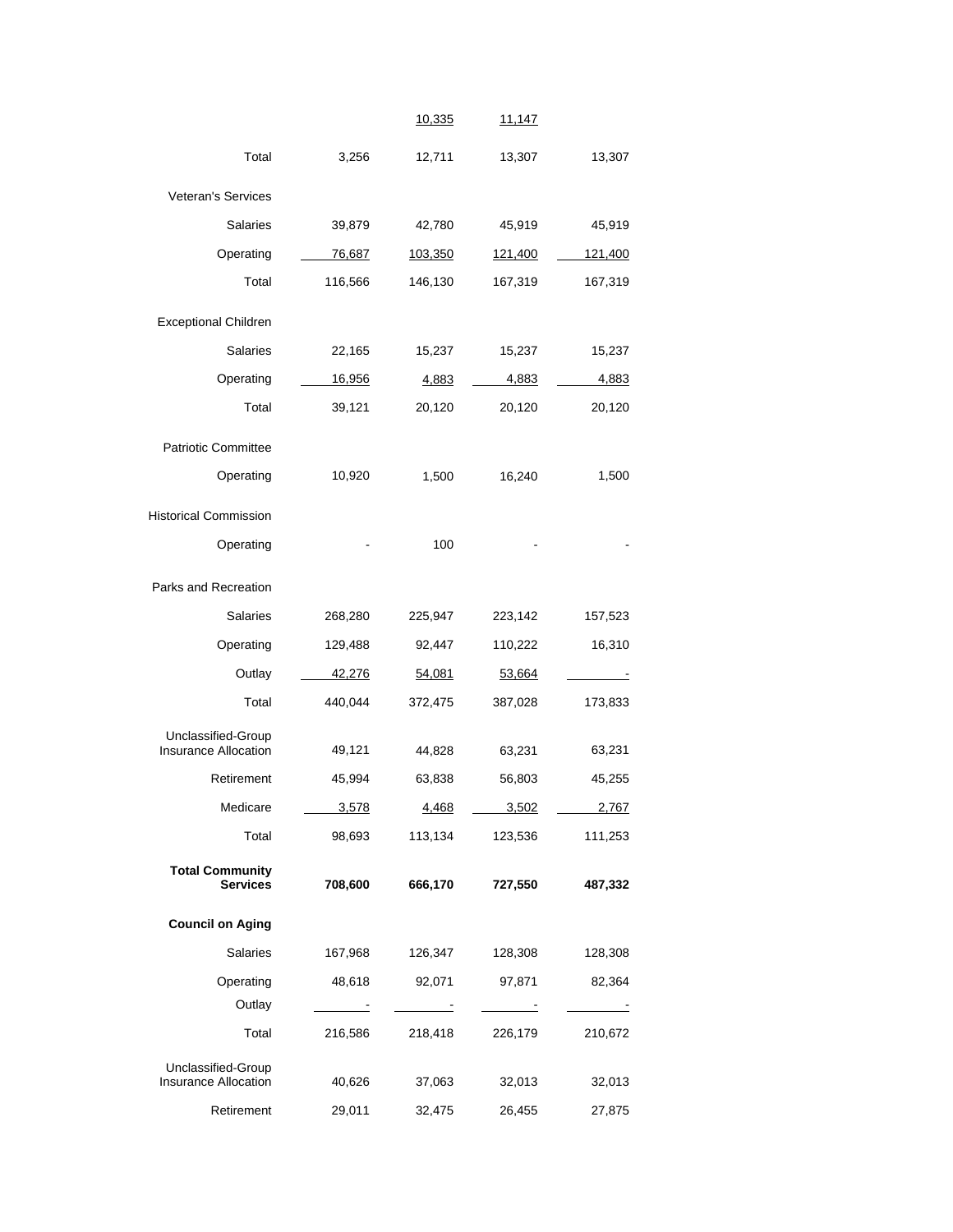|                              |               | 10,335  | 11,147         |         |
|------------------------------|---------------|---------|----------------|---------|
| Total                        | 3,256         | 12,711  | 13,307         | 13,307  |
| Veteran's Services           |               |         |                |         |
| Salaries                     |               |         |                |         |
|                              | 39,879        | 42,780  | 45,919         | 45,919  |
| Operating                    | <u>76,687</u> | 103,350 | <u>121,400</u> | 121,400 |
| Total                        | 116,566       | 146,130 | 167,319        | 167,319 |
| <b>Exceptional Children</b>  |               |         |                |         |
| <b>Salaries</b>              | 22,165        | 15,237  | 15,237         | 15,237  |
| Operating                    | 16,956        | 4,883   | 4,883          | 4,883   |
| Total                        | 39,121        | 20,120  | 20,120         | 20,120  |
| <b>Patriotic Committee</b>   |               |         |                |         |
| Operating                    | 10,920        | 1,500   | 16,240         | 1,500   |
|                              |               |         |                |         |
| <b>Historical Commission</b> |               |         |                |         |
| Operating                    |               | 100     |                |         |
| Parks and Recreation         |               |         |                |         |
| <b>Salaries</b>              | 268,280       | 225,947 | 223,142        | 157,523 |
| Operating                    | 129,488       | 92,447  | 110,222        | 16,310  |
| Outlay                       | <u>42,276</u> | 54,081  | 53,664         |         |
| Total                        | 440,044       | 372,475 | 387,028        | 173,833 |
| Unclassified-Group           |               |         |                |         |
| Insurance Allocation         | 49,121        | 44,828  | 63,231         | 63,231  |
| Retirement                   | 45,994        | 63,838  | 56,803         | 45,255  |
| Medicare                     | 3,578         | 4,468   | 3,502          | 2,767   |
| Total                        | 98,693        | 113,134 | 123,536        | 111,253 |
| <b>Total Community</b>       |               |         |                |         |
| <b>Services</b>              | 708,600       | 666,170 | 727,550        | 487,332 |
| <b>Council on Aging</b>      |               |         |                |         |
| Salaries                     | 167,968       | 126,347 | 128,308        | 128,308 |
| Operating                    | 48,618        | 92,071  | 97,871         | 82,364  |
| Outlay                       |               |         | $\mathbf{r}$   |         |
| Total                        | 216,586       | 218,418 | 226,179        | 210,672 |
| Unclassified-Group           |               |         |                |         |
| <b>Insurance Allocation</b>  | 40,626        | 37,063  | 32,013         | 32,013  |
| Retirement                   | 29,011        | 32,475  | 26,455         | 27,875  |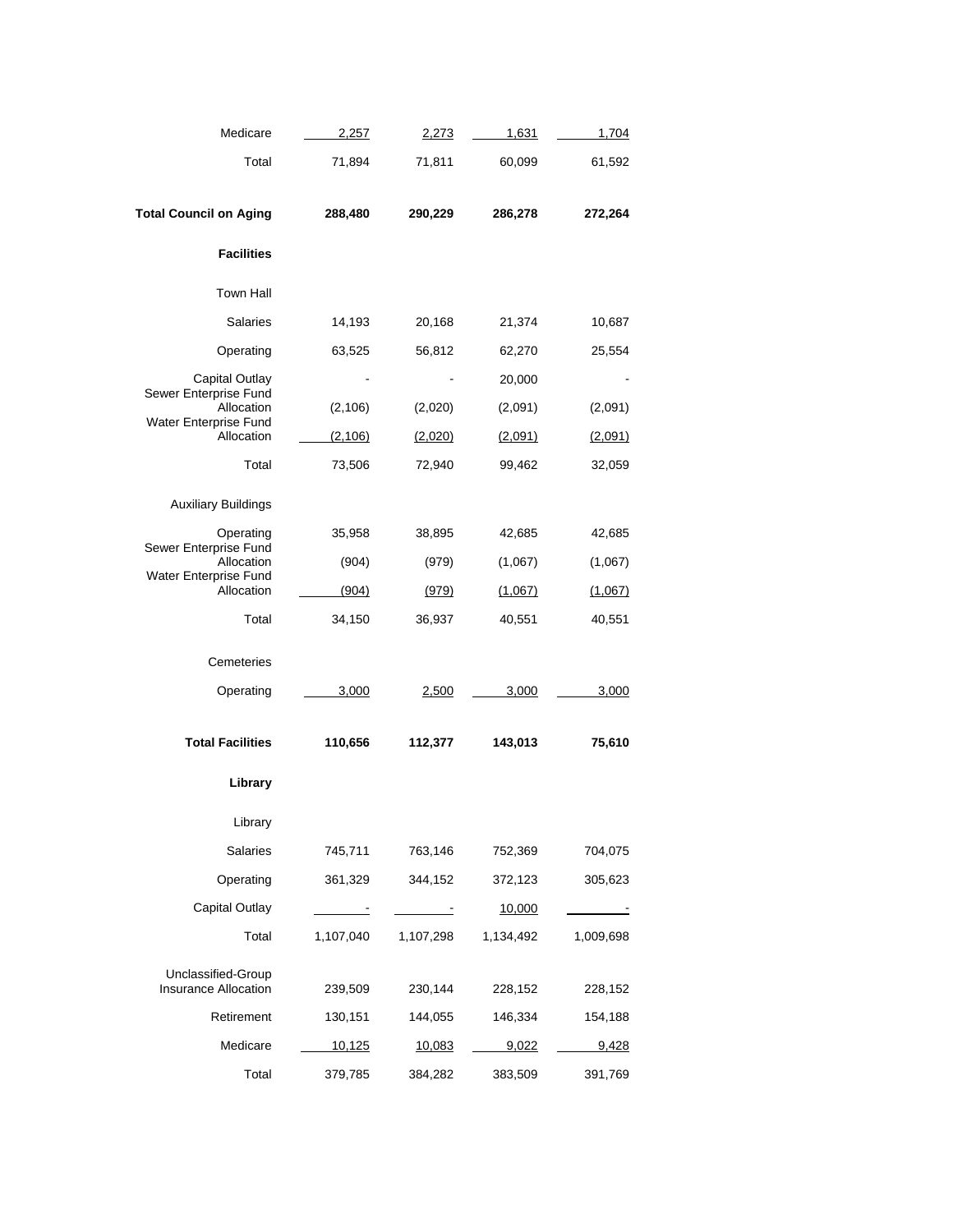| Medicare                            | 2,257                    | <u>2,273</u>             | 1,631             | 1,704             |
|-------------------------------------|--------------------------|--------------------------|-------------------|-------------------|
| Total                               | 71,894                   | 71,811                   | 60,099            | 61,592            |
| <b>Total Council on Aging</b>       | 288,480                  | 290,229                  | 286,278           | 272,264           |
| <b>Facilities</b>                   |                          |                          |                   |                   |
| <b>Town Hall</b>                    |                          |                          |                   |                   |
| <b>Salaries</b>                     | 14,193                   | 20,168                   | 21,374            | 10,687            |
| Operating                           | 63,525                   | 56,812                   | 62,270            | 25,554            |
| Capital Outlay                      |                          |                          | 20,000            |                   |
| Sewer Enterprise Fund<br>Allocation | (2, 106)                 | (2,020)                  | (2,091)           | (2,091)           |
| Water Enterprise Fund<br>Allocation | (2, 106)                 | (2,020)                  | (2,091)           | (2,091)           |
| Total                               | 73,506                   | 72,940                   | 99,462            | 32,059            |
| <b>Auxiliary Buildings</b>          |                          |                          |                   |                   |
| Operating                           | 35,958                   | 38,895                   | 42,685            | 42,685            |
| Sewer Enterprise Fund<br>Allocation | (904)                    | (979)                    | (1,067)           | (1,067)           |
| Water Enterprise Fund               | (904)                    |                          |                   |                   |
| Allocation<br>Total                 | 34,150                   | <u>(979)</u><br>36,937   | (1,067)<br>40,551 | (1,067)<br>40,551 |
|                                     |                          |                          |                   |                   |
| Cemeteries                          |                          |                          |                   |                   |
| Operating                           | 3,000                    | <u>2,500</u>             | 3,000             | 3,000             |
| <b>Total Facilities</b>             | 110,656                  | 112,377                  | 143,013           | 75,610            |
|                                     |                          |                          |                   |                   |
| Library                             |                          |                          |                   |                   |
| Library                             |                          |                          |                   |                   |
| Salaries                            | 745,711                  | 763,146                  | 752,369           | 704,075           |
| Operating                           | 361,329                  | 344,152                  | 372,123           | 305,623           |
| <b>Capital Outlay</b>               | $\overline{\phantom{a}}$ | $\overline{\phantom{a}}$ | 10,000            |                   |
| Total                               | 1,107,040                | 1,107,298                | 1,134,492         | 1,009,698         |
| Unclassified-Group                  |                          |                          |                   |                   |
| Insurance Allocation                | 239,509                  | 230,144                  | 228,152           | 228,152           |
| Retirement                          | 130,151                  | 144,055                  | 146,334           | 154,188           |
| Medicare                            | <u>10,125</u>            | 10,083                   | 9,022             | 9,428             |
| Total                               | 379,785                  | 384,282                  | 383,509           | 391,769           |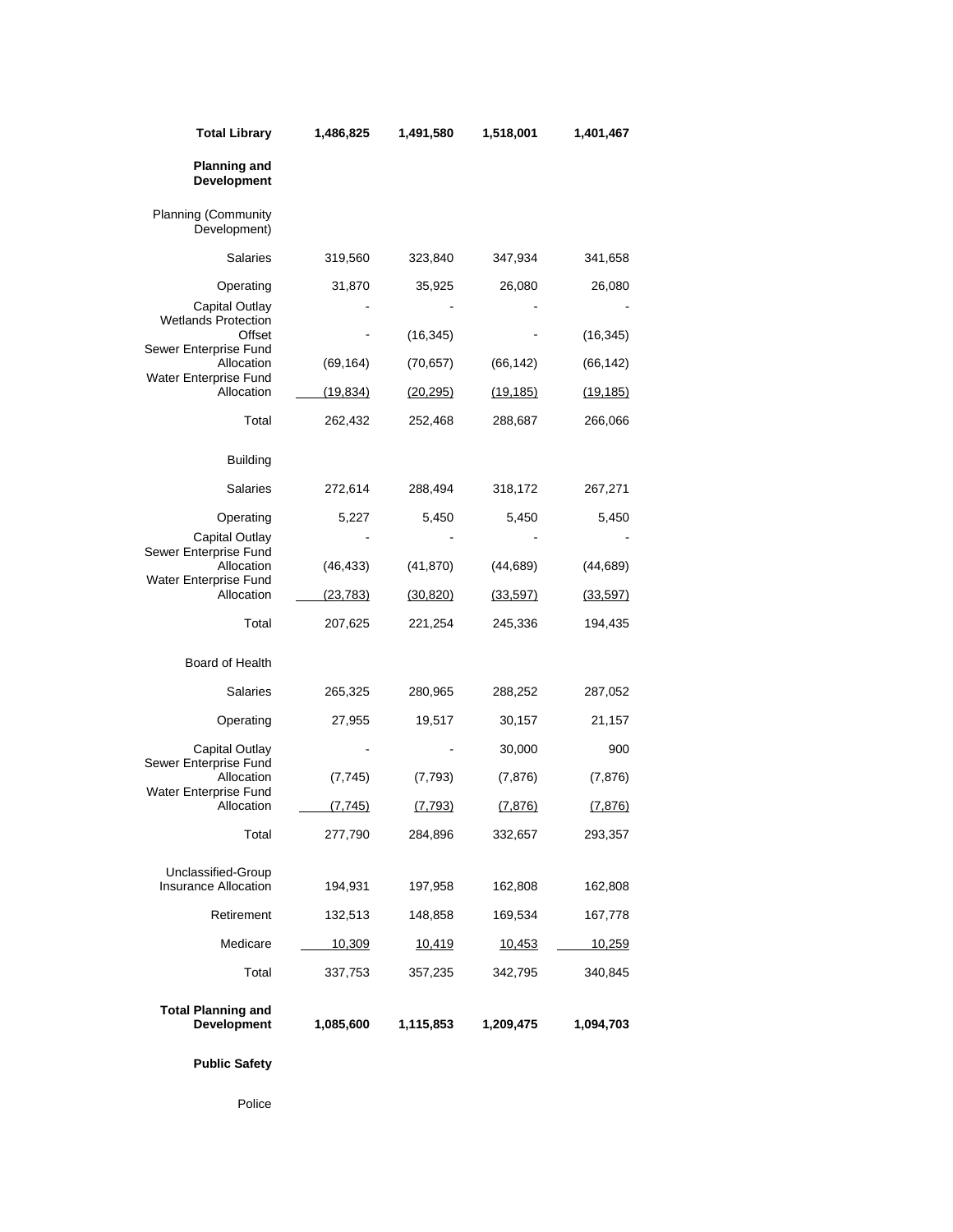| <b>Total Library</b>                            | 1,486,825 | 1,491,580 | 1,518,001     | 1,401,467     |
|-------------------------------------------------|-----------|-----------|---------------|---------------|
| <b>Planning and</b><br><b>Development</b>       |           |           |               |               |
| <b>Planning (Community</b><br>Development)      |           |           |               |               |
| <b>Salaries</b>                                 | 319,560   | 323,840   | 347,934       | 341,658       |
| Operating                                       | 31,870    | 35,925    | 26,080        | 26,080        |
| Capital Outlay<br><b>Wetlands Protection</b>    |           |           |               |               |
| Offset<br>Sewer Enterprise Fund                 |           | (16, 345) |               | (16, 345)     |
| Allocation<br>Water Enterprise Fund             | (69, 164) | (70, 657) | (66, 142)     | (66, 142)     |
| Allocation                                      | (19, 834) | (20, 295) | (19, 185)     | (19, 185)     |
| Total                                           | 262,432   | 252,468   | 288,687       | 266,066       |
| <b>Building</b>                                 |           |           |               |               |
| Salaries                                        | 272,614   | 288,494   | 318,172       | 267,271       |
| Operating                                       | 5,227     | 5,450     | 5,450         | 5,450         |
| Capital Outlay<br>Sewer Enterprise Fund         |           |           |               |               |
| Allocation                                      | (46, 433) | (41, 870) | (44, 689)     | (44, 689)     |
| Water Enterprise Fund<br>Allocation             | (23, 783) | (30, 820) | (33, 597)     | (33, 597)     |
| Total                                           | 207,625   | 221,254   | 245,336       | 194,435       |
| Board of Health                                 |           |           |               |               |
| <b>Salaries</b>                                 | 265,325   | 280,965   | 288,252       | 287,052       |
| Operating                                       | 27,955    | 19,517    | 30,157        | 21,157        |
| Capital Outlay                                  |           |           | 30,000        | 900           |
| Sewer Enterprise Fund<br>Allocation             | (7, 745)  | (7, 793)  | (7, 876)      | (7, 876)      |
| Water Enterprise Fund<br>Allocation             | (7, 745)  | (7, 793)  | (7, 876)      | (7, 876)      |
| Total                                           | 277,790   | 284,896   | 332,657       | 293,357       |
| Unclassified-Group                              |           |           |               |               |
| <b>Insurance Allocation</b>                     | 194,931   | 197,958   | 162,808       | 162,808       |
| Retirement                                      | 132,513   | 148,858   | 169,534       | 167,778       |
| Medicare                                        | 10,309    | 10,419    | <u>10,453</u> | <u>10,259</u> |
| Total                                           | 337,753   | 357,235   | 342,795       | 340,845       |
| <b>Total Planning and</b><br><b>Development</b> | 1,085,600 | 1,115,853 | 1,209,475     | 1,094,703     |

**Public Safety** 

Police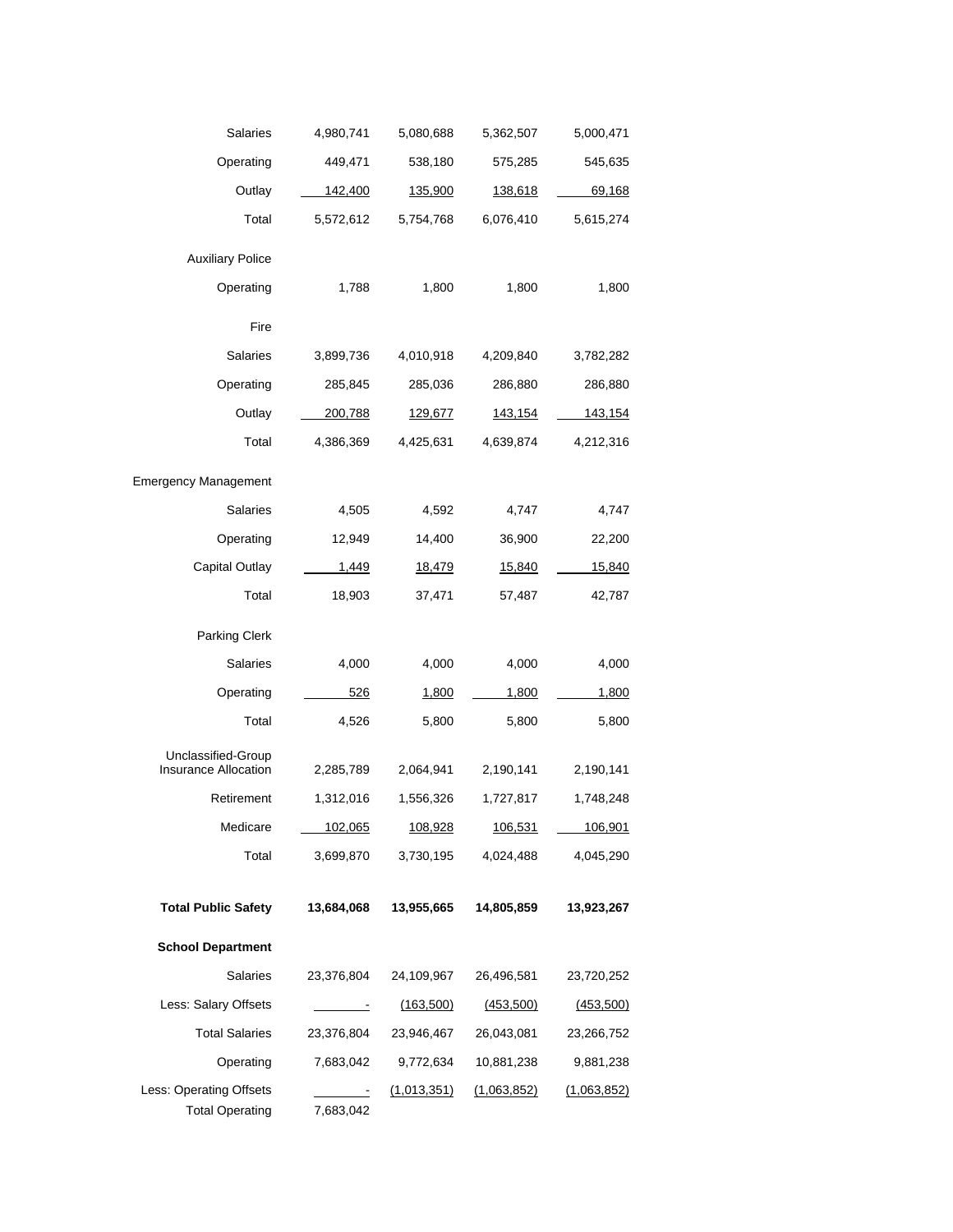| Salaries                                   | 4,980,741                   | 5,080,688      | 5,362,507      | 5,000,471     |
|--------------------------------------------|-----------------------------|----------------|----------------|---------------|
| Operating                                  | 449,471                     | 538,180        | 575,285        | 545,635       |
| Outlay                                     | 142,400                     | 135,900        | 138,618        | <u>69,168</u> |
| Total                                      | 5,572,612                   | 5,754,768      | 6,076,410      | 5,615,274     |
| <b>Auxiliary Police</b>                    |                             |                |                |               |
| Operating                                  | 1,788                       | 1,800          | 1,800          | 1,800         |
|                                            |                             |                |                |               |
| Fire                                       |                             |                |                |               |
| Salaries                                   | 3,899,736                   | 4,010,918      | 4,209,840      | 3,782,282     |
| Operating                                  | 285,845                     | 285,036        | 286,880        | 286,880       |
| Outlay                                     | <u>200,788</u>              | <u>129,677</u> | <u>143,154</u> | 143,154       |
| Total                                      | 4,386,369                   | 4,425,631      | 4,639,874      | 4,212,316     |
| <b>Emergency Management</b>                |                             |                |                |               |
| Salaries                                   | 4,505                       | 4,592          | 4,747          | 4,747         |
| Operating                                  | 12,949                      | 14,400         | 36,900         | 22,200        |
| Capital Outlay                             | 1,449                       | 18,479         | 15,840         | 15,840        |
| Total                                      | 18,903                      | 37,471         | 57,487         | 42,787        |
| Parking Clerk                              |                             |                |                |               |
| Salaries                                   | 4,000                       | 4,000          | 4,000          | 4,000         |
| Operating                                  | 526                         | 1,800          | 1,800          | 1,800         |
| Total                                      | 4,526                       | 5,800          | 5,800          | 5,800         |
|                                            |                             |                |                |               |
| Unclassified-Group<br>Insurance Allocation | 2,285,789                   | 2,064,941      | 2,190,141      | 2,190,141     |
| Retirement                                 | 1,312,016                   | 1,556,326      | 1,727,817      | 1,748,248     |
| Medicare                                   | 102,065                     | 108,928        | 106,531        | 106,901       |
| Total                                      | 3,699,870                   | 3,730,195      | 4,024,488      | 4,045,290     |
|                                            |                             |                |                |               |
| <b>Total Public Safety</b>                 | 13,684,068                  | 13,955,665     | 14,805,859     | 13,923,267    |
| <b>School Department</b>                   |                             |                |                |               |
| <b>Salaries</b>                            | 23,376,804                  | 24,109,967     | 26,496,581     | 23,720,252    |
| Less: Salary Offsets                       | $\frac{1}{2}$ $\frac{1}{2}$ | (163, 500)     | (453,500)      | (453,500)     |
| <b>Total Salaries</b>                      | 23,376,804                  | 23,946,467     | 26,043,081     | 23,266,752    |
|                                            |                             |                |                |               |
| Operating                                  | 7,683,042                   | 9,772,634      | 10,881,238     | 9,881,238     |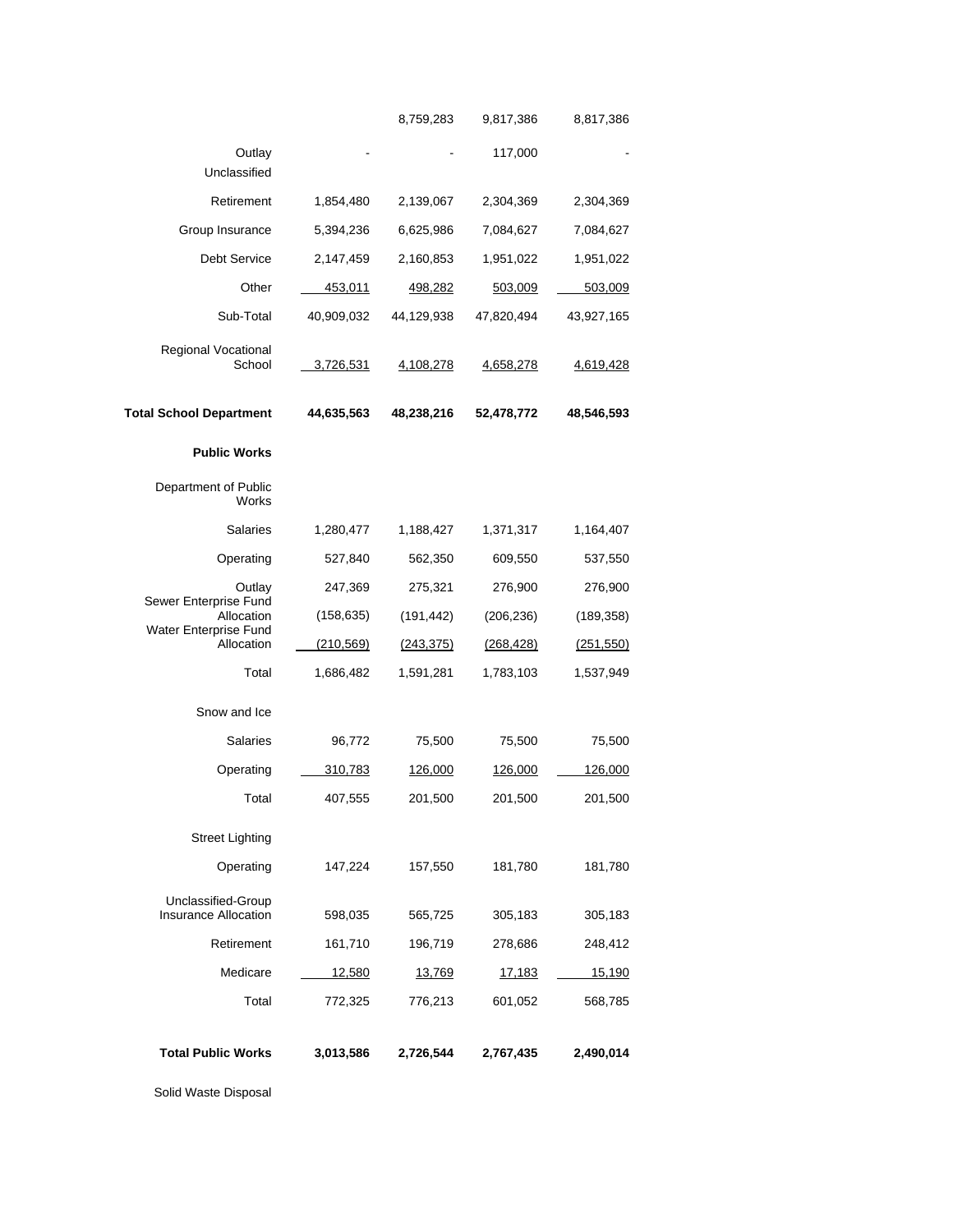| Total                                             | 772,325        | 776,213          | 601,052        | 568,785    |
|---------------------------------------------------|----------------|------------------|----------------|------------|
| Medicare                                          | <u>12,580</u>  | 13,769           | <u>17,183</u>  | 15,190     |
| Retirement                                        | 161,710        | 196,719          | 278,686        | 248,412    |
| Unclassified-Group<br><b>Insurance Allocation</b> | 598,035        | 565,725          | 305,183        | 305,183    |
| Operating                                         | 147,224        | 157,550          | 181,780        | 181,780    |
| <b>Street Lighting</b>                            |                |                  |                |            |
| Total                                             | 407,555        | 201,500          | 201,500        | 201,500    |
| Operating                                         | <u>310,783</u> | 126,000          | <u>126,000</u> | 126,000    |
| <b>Salaries</b>                                   | 96,772         | 75,500           | 75,500         | 75,500     |
| Snow and Ice                                      |                |                  |                |            |
| Total                                             | 1,686,482      | 1,591,281        | 1,783,103      | 1,537,949  |
| Allocation                                        | (210, 569)     | (243, 375)       | (268, 428)     | (251, 550) |
| Allocation<br>Water Enterprise Fund               | (158, 635)     | (191, 442)       | (206, 236)     | (189, 358) |
| Outlay<br>Sewer Enterprise Fund                   | 247,369        | 275,321          | 276,900        | 276,900    |
| Operating                                         | 527,840        | 562,350          | 609,550        | 537,550    |
| <b>Salaries</b>                                   | 1,280,477      | 1,188,427        | 1,371,317      | 1,164,407  |
| Department of Public<br>Works                     |                |                  |                |            |
| <b>Public Works</b>                               |                |                  |                |            |
| <b>Total School Department</b>                    | 44,635,563     | 48,238,216       | 52,478,772     | 48,546,593 |
| Regional Vocational<br>School                     | 3,726,531      | <u>4,108,278</u> | 4,658,278      | 4,619,428  |
| Sub-Total                                         | 40,909,032     | 44,129,938       | 47,820,494     | 43,927,165 |
| Other                                             | 453,011        | 498,282          | 503,009        | 503,009    |
| <b>Debt Service</b>                               | 2,147,459      | 2,160,853        | 1,951,022      | 1,951,022  |
| Group Insurance                                   | 5,394,236      | 6,625,986        | 7,084,627      | 7,084,627  |
| Retirement                                        | 1,854,480      | 2,139,067        | 2,304,369      | 2,304,369  |
| Outlay<br>Unclassified                            |                |                  | 117,000        |            |
|                                                   |                | 8,759,283        | 9,817,386      | 8,817,386  |

Solid Waste Disposal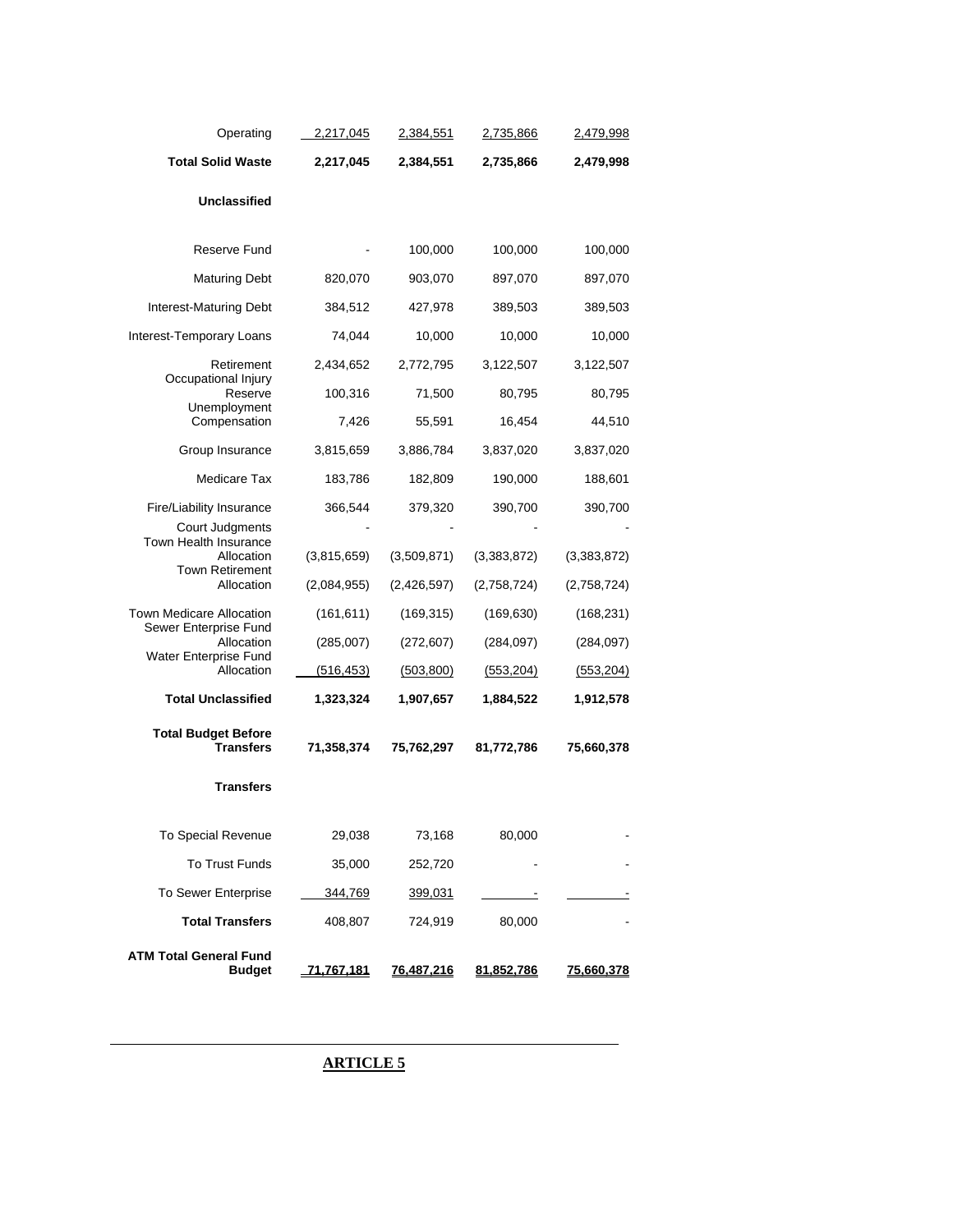| Operating                                                | 2,217,045   | <u>2,384,551</u> | <u>2,735,866</u> | 2,479,998   |
|----------------------------------------------------------|-------------|------------------|------------------|-------------|
| <b>Total Solid Waste</b>                                 | 2,217,045   | 2,384,551        | 2,735,866        | 2,479,998   |
| Unclassified                                             |             |                  |                  |             |
|                                                          |             |                  |                  |             |
| Reserve Fund                                             |             | 100,000          | 100,000          | 100,000     |
| <b>Maturing Debt</b>                                     | 820,070     | 903,070          | 897,070          | 897,070     |
| <b>Interest-Maturing Debt</b>                            | 384,512     | 427,978          | 389,503          | 389,503     |
| Interest-Temporary Loans                                 | 74,044      | 10,000           | 10,000           | 10,000      |
| Retirement<br>Occupational Injury                        | 2,434,652   | 2,772,795        | 3,122,507        | 3,122,507   |
| Reserve<br>Unemployment                                  | 100,316     | 71,500           | 80,795           | 80,795      |
| Compensation                                             | 7,426       | 55,591           | 16,454           | 44,510      |
| Group Insurance                                          | 3,815,659   | 3,886,784        | 3,837,020        | 3,837,020   |
| Medicare Tax                                             | 183,786     | 182,809          | 190,000          | 188,601     |
| Fire/Liability Insurance                                 | 366,544     | 379,320          | 390,700          | 390,700     |
| Court Judgments<br><b>Town Health Insurance</b>          |             |                  |                  |             |
| Allocation<br><b>Town Retirement</b>                     | (3,815,659) | (3,509,871)      | (3,383,872)      | (3,383,872) |
| Allocation                                               | (2,084,955) | (2,426,597)      | (2,758,724)      | (2,758,724) |
| <b>Town Medicare Allocation</b><br>Sewer Enterprise Fund | (161, 611)  | (169, 315)       | (169, 630)       | (168, 231)  |
| Allocation<br>Water Enterprise Fund                      | (285,007)   | (272, 607)       | (284, 097)       | (284, 097)  |
| Allocation                                               | (516, 453)  | (503, 800)       | <u>(553,204)</u> | (553, 204)  |
| <b>Total Unclassified</b>                                | 1,323,324   | 1,907,657        | 1,884,522        | 1,912,578   |
| <b>Total Budget Before</b><br>Transfers                  | 71,358,374  | 75,762,297       | 81,772,786       | 75,660,378  |
| <b>Transfers</b>                                         |             |                  |                  |             |
| To Special Revenue                                       | 29,038      | 73,168           | 80,000           |             |
| To Trust Funds                                           | 35,000      | 252,720          |                  |             |
| To Sewer Enterprise                                      | 344,769     | 399,031          |                  |             |
| <b>Total Transfers</b>                                   | 408,807     | 724,919          | 80,000           |             |
| <b>ATM Total General Fund</b><br><b>Budget</b>           | 71,767,181  | 76,487,216       | 81,852,786       | 75,660,378  |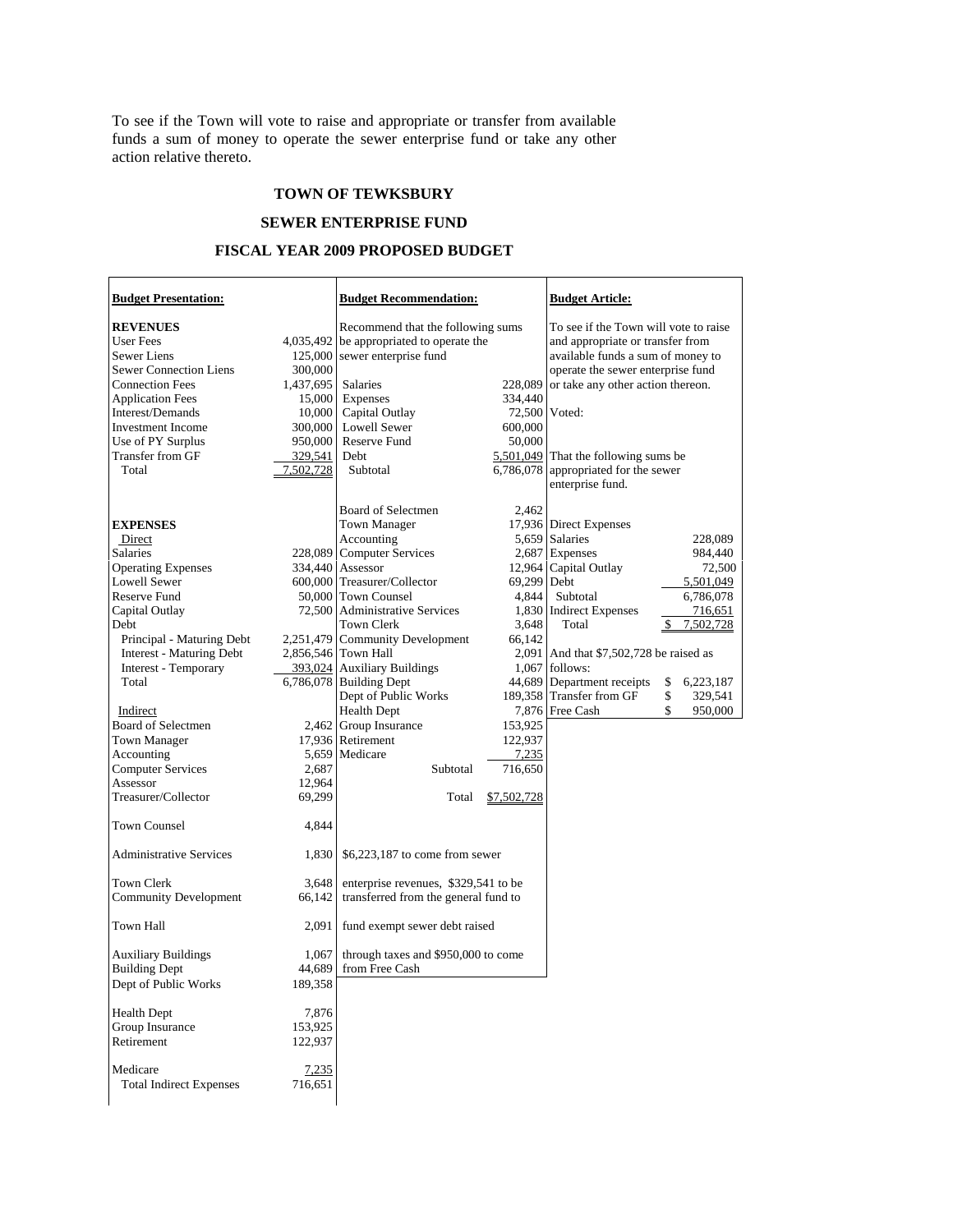To see if the Town will vote to raise and appropriate or transfer from available funds a sum of money to operate the sewer enterprise fund or take any other action relative thereto.

## **TOWN OF TEWKSBURY**

## **SEWER ENTERPRISE FUND**

## **FISCAL YEAR 2009 PROPOSED BUDGET**

r

| <b>Budget Presentation:</b>    |           | <b>Budget Recommendation:</b>        |             | <b>Budget Article:</b>                  |                 |
|--------------------------------|-----------|--------------------------------------|-------------|-----------------------------------------|-----------------|
| <b>REVENUES</b>                |           | Recommend that the following sums    |             | To see if the Town will vote to raise   |                 |
| User Fees                      | 4,035,492 | be appropriated to operate the       |             | and appropriate or transfer from        |                 |
| Sewer Liens                    |           | 125,000 sewer enterprise fund        |             | available funds a sum of money to       |                 |
| <b>Sewer Connection Liens</b>  | 300,000   |                                      |             | operate the sewer enterprise fund       |                 |
| <b>Connection Fees</b>         | 1,437,695 | Salaries                             | 228,089     | or take any other action thereon.       |                 |
| <b>Application Fees</b>        | 15,000    | Expenses                             | 334,440     |                                         |                 |
| Interest/Demands               | 10,000    | Capital Outlay                       |             | 72,500 Voted:                           |                 |
| <b>Investment Income</b>       | 300,000   | <b>Lowell Sewer</b>                  | 600,000     |                                         |                 |
| Use of PY Surplus              | 950,000   | Reserve Fund                         | 50,000      |                                         |                 |
| Transfer from GF               | 329,541   | Debt                                 |             | 5,501,049 That the following sums be    |                 |
| Total                          | 7,502,728 | Subtotal                             |             | 6,786,078 appropriated for the sewer    |                 |
|                                |           |                                      |             | enterprise fund.                        |                 |
|                                |           |                                      |             |                                         |                 |
|                                |           | Board of Selectmen                   | 2,462       | 17,936 Direct Expenses                  |                 |
| <b>EXPENSES</b><br>Direct      |           | <b>Town Manager</b><br>Accounting    |             | 5,659 Salaries                          | 228,089         |
| Salaries                       |           | 228,089 Computer Services            |             | 2,687 Expenses                          | 984,440         |
| <b>Operating Expenses</b>      |           | 334,440 Assessor                     |             | 12,964 Capital Outlay                   | 72,500          |
| <b>Lowell Sewer</b>            |           | 600,000 Treasurer/Collector          | 69,299 Debt |                                         | 5,501,049       |
| Reserve Fund                   |           | 50,000 Town Counsel                  | 4,844       | Subtotal                                | 6,786,078       |
| Capital Outlay                 |           | 72,500 Administrative Services       |             | 1,830 Indirect Expenses                 | 716,651         |
| Debt                           |           | <b>Town Clerk</b>                    | 3,648       | Total                                   | \$<br>7,502,728 |
| Principal - Maturing Debt      |           | 2,251,479 Community Development      | 66,142      |                                         |                 |
| Interest - Maturing Debt       |           | 2,856,546 Town Hall                  |             | 2,091 And that \$7,502,728 be raised as |                 |
| Interest - Temporary           |           | 393,024 Auxiliary Buildings          |             | $1,067$ follows:                        |                 |
| Total                          |           | 6,786,078 Building Dept              |             | 44,689 Department receipts              | \$<br>6,223,187 |
|                                |           | Dept of Public Works                 |             | 189,358 Transfer from GF                | \$<br>329,541   |
| Indirect                       |           | <b>Health Dept</b>                   |             | 7,876 Free Cash                         | \$<br>950,000   |
| Board of Selectmen             |           | 2,462 Group Insurance                | 153,925     |                                         |                 |
| Town Manager                   |           | 17,936 Retirement                    | 122,937     |                                         |                 |
| Accounting                     |           | 5,659 Medicare                       | 7,235       |                                         |                 |
| <b>Computer Services</b>       | 2,687     | Subtotal                             | 716,650     |                                         |                 |
| Assessor                       | 12,964    |                                      |             |                                         |                 |
| Treasurer/Collector            | 69,299    | Total                                | \$7,502,728 |                                         |                 |
|                                |           |                                      |             |                                         |                 |
| <b>Town Counsel</b>            | 4,844     |                                      |             |                                         |                 |
| <b>Administrative Services</b> | 1,830     | $$6,223,187$ to come from sewer      |             |                                         |                 |
| Town Clerk                     | 3,648     | enterprise revenues, \$329,541 to be |             |                                         |                 |
| <b>Community Development</b>   | 66,142    | transferred from the general fund to |             |                                         |                 |
|                                |           |                                      |             |                                         |                 |
| Town Hall                      | 2,091     | fund exempt sewer debt raised        |             |                                         |                 |
| <b>Auxiliary Buildings</b>     | 1,067     | through taxes and \$950,000 to come  |             |                                         |                 |
| <b>Building Dept</b>           | 44,689    | from Free Cash                       |             |                                         |                 |
| Dept of Public Works           | 189,358   |                                      |             |                                         |                 |
| <b>Health Dept</b>             | 7,876     |                                      |             |                                         |                 |
| Group Insurance                | 153,925   |                                      |             |                                         |                 |
| Retirement                     | 122,937   |                                      |             |                                         |                 |
|                                |           |                                      |             |                                         |                 |
| Medicare                       | 7,235     |                                      |             |                                         |                 |
| <b>Total Indirect Expenses</b> | 716,651   |                                      |             |                                         |                 |
|                                |           |                                      |             |                                         |                 |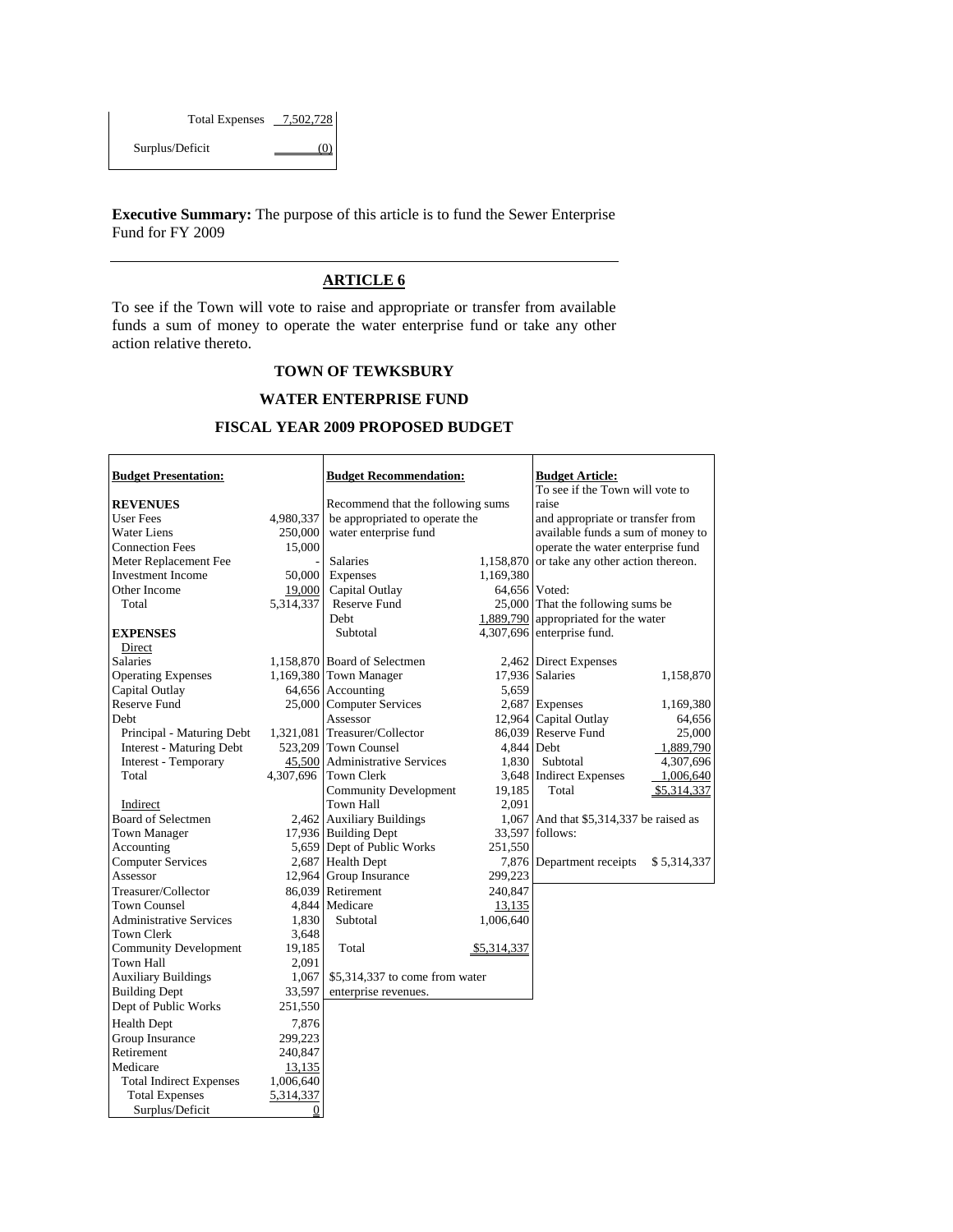| <b>Total Expenses</b> | 7,502,728 |
|-----------------------|-----------|
| Surplus/Deficit       |           |

Г

**Executive Summary:** The purpose of this article is to fund the Sewer Enterprise Fund for FY 2009

## **ARTICLE 6**

To see if the Town will vote to raise and appropriate or transfer from available funds a sum of money to operate the water enterprise fund or take any other action relative thereto.

## **TOWN OF TEWKSBURY**

#### **WATER ENTERPRISE FUND**

## **FISCAL YEAR 2009 PROPOSED BUDGET**

Τ

Τ

| <b>Budget Presentation:</b>     |           | <b>Budget Recommendation:</b>     |             | <b>Budget Article:</b><br>To see if the Town will vote to |             |
|---------------------------------|-----------|-----------------------------------|-------------|-----------------------------------------------------------|-------------|
| <b>REVENUES</b>                 |           | Recommend that the following sums |             | raise                                                     |             |
| <b>User Fees</b>                | 4,980,337 | be appropriated to operate the    |             | and appropriate or transfer from                          |             |
| <b>Water Liens</b>              | 250,000   | water enterprise fund             |             | available funds a sum of money to                         |             |
| <b>Connection Fees</b>          | 15,000    |                                   |             | operate the water enterprise fund                         |             |
| Meter Replacement Fee           |           | <b>Salaries</b>                   |             | 1,158,870 or take any other action thereon.               |             |
| <b>Investment Income</b>        | 50,000    | Expenses                          | 1,169,380   |                                                           |             |
| Other Income                    | 19,000    | Capital Outlay                    |             | 64,656 Voted:                                             |             |
| Total                           | 5,314,337 | Reserve Fund                      |             | 25,000 That the following sums be                         |             |
|                                 |           | <b>Debt</b>                       |             | 1,889,790 appropriated for the water                      |             |
| <b>EXPENSES</b>                 |           | Subtotal                          |             | 4,307,696 enterprise fund.                                |             |
| Direct                          |           |                                   |             |                                                           |             |
| <b>Salaries</b>                 |           | 1,158,870 Board of Selectmen      |             | 2,462 Direct Expenses                                     |             |
| <b>Operating Expenses</b>       |           | 1,169,380 Town Manager            |             | 17,936 Salaries                                           | 1,158,870   |
| Capital Outlay                  |           | 64,656 Accounting                 | 5,659       |                                                           |             |
| <b>Reserve Fund</b>             |           | 25,000 Computer Services          |             | 2,687 Expenses                                            | 1,169,380   |
| Debt                            |           | Assessor                          |             | 12,964 Capital Outlay                                     | 64,656      |
| Principal - Maturing Debt       |           | 1,321,081 Treasurer/Collector     |             | 86,039 Reserve Fund                                       | 25,000      |
| <b>Interest - Maturing Debt</b> |           | 523,209 Town Counsel              | 4.844 Debt  |                                                           | 1,889,790   |
| Interest - Temporary            |           | 45,500 Administrative Services    | 1,830       | Subtotal                                                  | 4,307,696   |
| Total                           |           | 4,307,696 Town Clerk              |             | 3,648 Indirect Expenses                                   | 1,006,640   |
|                                 |           | <b>Community Development</b>      | 19,185      | Total                                                     | \$5,314,337 |
| Indirect                        |           | <b>Town Hall</b>                  | 2,091       |                                                           |             |
| Board of Selectmen              |           | 2,462 Auxiliary Buildings         |             | 1,067 And that \$5,314,337 be raised as                   |             |
| <b>Town Manager</b>             |           | 17,936 Building Dept              |             | 33,597 follows:                                           |             |
| Accounting                      |           | 5,659 Dept of Public Works        | 251,550     |                                                           |             |
| <b>Computer Services</b>        |           | 2,687 Health Dept                 |             | 7,876 Department receipts                                 | \$5,314,337 |
| Assessor                        |           | 12,964 Group Insurance            | 299,223     |                                                           |             |
| Treasurer/Collector             |           | 86,039 Retirement                 | 240,847     |                                                           |             |
| <b>Town Counsel</b>             |           | 4,844 Medicare                    | 13,135      |                                                           |             |
| <b>Administrative Services</b>  | 1,830     | Subtotal                          | 1,006,640   |                                                           |             |
| Town Clerk                      | 3,648     |                                   |             |                                                           |             |
| <b>Community Development</b>    | 19,185    | Total                             | \$5,314,337 |                                                           |             |
| <b>Town Hall</b>                | 2,091     |                                   |             |                                                           |             |
| <b>Auxiliary Buildings</b>      | 1,067     | \$5,314,337 to come from water    |             |                                                           |             |
| <b>Building Dept</b>            | 33,597    | enterprise revenues.              |             |                                                           |             |
| Dept of Public Works            | 251,550   |                                   |             |                                                           |             |
| <b>Health Dept</b>              | 7,876     |                                   |             |                                                           |             |
| Group Insurance                 | 299,223   |                                   |             |                                                           |             |
| Retirement                      | 240,847   |                                   |             |                                                           |             |
| Medicare                        | 13,135    |                                   |             |                                                           |             |
| <b>Total Indirect Expenses</b>  | 1,006,640 |                                   |             |                                                           |             |
| <b>Total Expenses</b>           |           |                                   |             |                                                           |             |
|                                 | 5,314,337 |                                   |             |                                                           |             |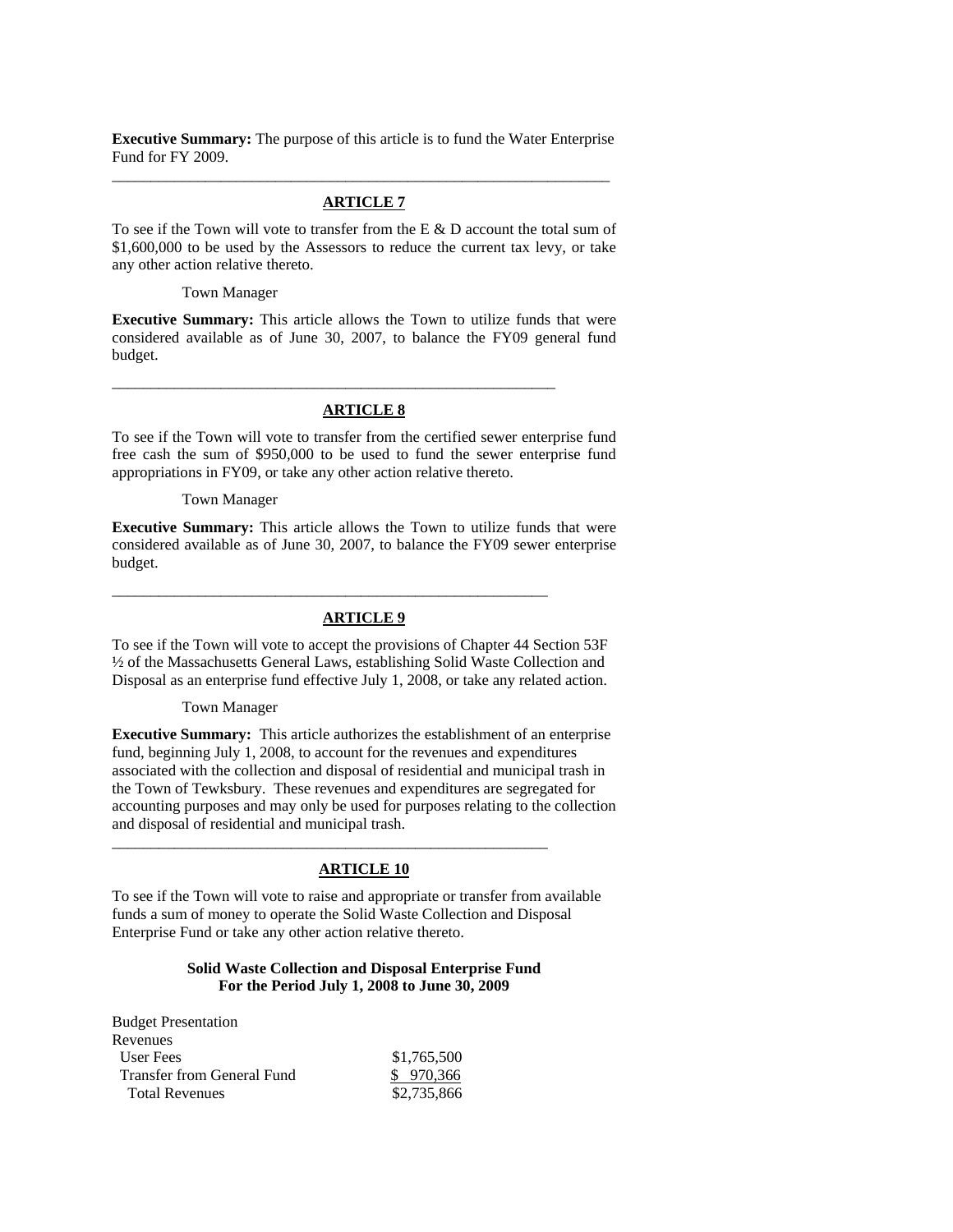**Executive Summary:** The purpose of this article is to fund the Water Enterprise Fund for FY 2009. \_\_\_\_\_\_\_\_\_\_\_\_\_\_\_\_\_\_\_\_\_\_\_\_\_\_\_\_\_\_\_\_\_\_\_\_\_\_\_\_\_\_\_\_\_\_\_\_\_\_\_\_\_\_\_\_\_\_\_\_\_\_\_\_

### **ARTICLE 7**

To see if the Town will vote to transfer from the E & D account the total sum of \$1,600,000 to be used by the Assessors to reduce the current tax levy, or take any other action relative thereto.

Town Manager

**Executive Summary:** This article allows the Town to utilize funds that were considered available as of June 30, 2007, to balance the FY09 general fund budget.

## **ARTICLE 8**

\_\_\_\_\_\_\_\_\_\_\_\_\_\_\_\_\_\_\_\_\_\_\_\_\_\_\_\_\_\_\_\_\_\_\_\_\_\_\_\_\_\_\_\_\_\_\_\_\_\_\_\_\_\_\_\_\_

To see if the Town will vote to transfer from the certified sewer enterprise fund free cash the sum of \$950,000 to be used to fund the sewer enterprise fund appropriations in FY09, or take any other action relative thereto.

Town Manager

**Executive Summary:** This article allows the Town to utilize funds that were considered available as of June 30, 2007, to balance the FY09 sewer enterprise budget.

## **ARTICLE 9**

\_\_\_\_\_\_\_\_\_\_\_\_\_\_\_\_\_\_\_\_\_\_\_\_\_\_\_\_\_\_\_\_\_\_\_\_\_\_\_\_\_\_\_\_\_\_\_\_\_\_\_\_\_\_\_\_

To see if the Town will vote to accept the provisions of Chapter 44 Section 53F ½ of the Massachusetts General Laws, establishing Solid Waste Collection and Disposal as an enterprise fund effective July 1, 2008, or take any related action.

#### Town Manager

**Executive Summary:** This article authorizes the establishment of an enterprise fund, beginning July 1, 2008, to account for the revenues and expenditures associated with the collection and disposal of residential and municipal trash in the Town of Tewksbury. These revenues and expenditures are segregated for accounting purposes and may only be used for purposes relating to the collection and disposal of residential and municipal trash.

### **ARTICLE 10**

\_\_\_\_\_\_\_\_\_\_\_\_\_\_\_\_\_\_\_\_\_\_\_\_\_\_\_\_\_\_\_\_\_\_\_\_\_\_\_\_\_\_\_\_\_\_\_\_\_\_\_\_\_\_\_\_

To see if the Town will vote to raise and appropriate or transfer from available funds a sum of money to operate the Solid Waste Collection and Disposal Enterprise Fund or take any other action relative thereto.

### **Solid Waste Collection and Disposal Enterprise Fund For the Period July 1, 2008 to June 30, 2009**

| <b>Budget Presentation</b> |             |
|----------------------------|-------------|
| Revenues                   |             |
| User Fees                  | \$1,765,500 |
| Transfer from General Fund | \$970,366   |
| <b>Total Revenues</b>      | \$2,735,866 |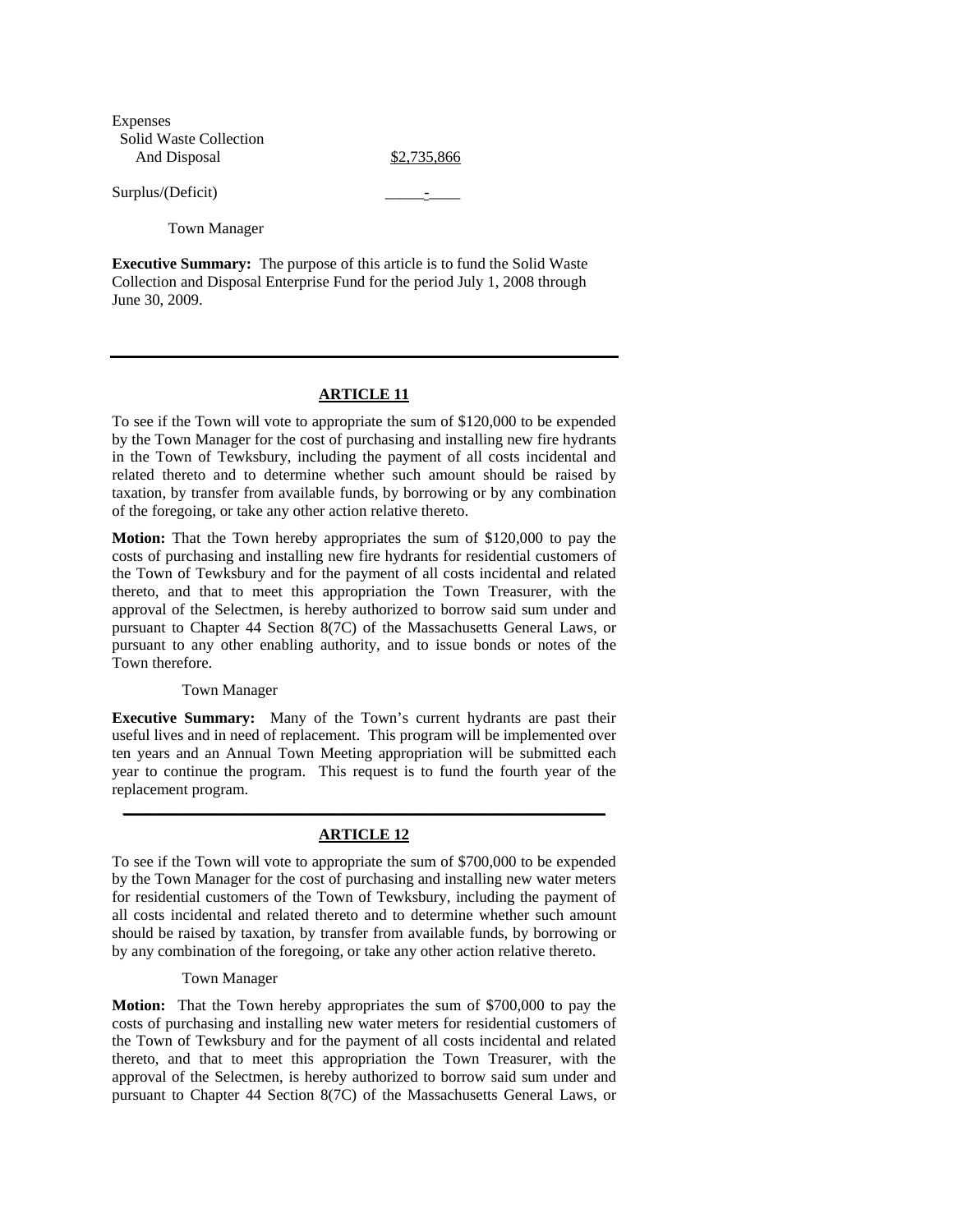Expenses Solid Waste Collection And Disposal \$2,735,866

Surplus/(Deficit)

Town Manager

**Executive Summary:** The purpose of this article is to fund the Solid Waste Collection and Disposal Enterprise Fund for the period July 1, 2008 through June 30, 2009.

## **ARTICLE 11**

To see if the Town will vote to appropriate the sum of \$120,000 to be expended by the Town Manager for the cost of purchasing and installing new fire hydrants in the Town of Tewksbury, including the payment of all costs incidental and related thereto and to determine whether such amount should be raised by taxation, by transfer from available funds, by borrowing or by any combination of the foregoing, or take any other action relative thereto.

**Motion:** That the Town hereby appropriates the sum of \$120,000 to pay the costs of purchasing and installing new fire hydrants for residential customers of the Town of Tewksbury and for the payment of all costs incidental and related thereto, and that to meet this appropriation the Town Treasurer, with the approval of the Selectmen, is hereby authorized to borrow said sum under and pursuant to Chapter 44 Section 8(7C) of the Massachusetts General Laws, or pursuant to any other enabling authority, and to issue bonds or notes of the Town therefore.

### Town Manager

**Executive Summary:** Many of the Town's current hydrants are past their useful lives and in need of replacement. This program will be implemented over ten years and an Annual Town Meeting appropriation will be submitted each year to continue the program. This request is to fund the fourth year of the replacement program.

# **\_\_\_\_\_\_\_\_\_\_\_\_\_\_\_\_\_\_\_\_\_\_\_\_\_\_\_\_\_\_\_\_\_\_\_\_\_\_\_\_\_\_\_\_\_\_\_\_\_\_\_\_\_\_\_\_\_\_\_\_\_\_ ARTICLE 12**

To see if the Town will vote to appropriate the sum of \$700,000 to be expended by the Town Manager for the cost of purchasing and installing new water meters for residential customers of the Town of Tewksbury, including the payment of all costs incidental and related thereto and to determine whether such amount should be raised by taxation, by transfer from available funds, by borrowing or by any combination of the foregoing, or take any other action relative thereto.

### Town Manager

**Motion:** That the Town hereby appropriates the sum of \$700,000 to pay the costs of purchasing and installing new water meters for residential customers of the Town of Tewksbury and for the payment of all costs incidental and related thereto, and that to meet this appropriation the Town Treasurer, with the approval of the Selectmen, is hereby authorized to borrow said sum under and pursuant to Chapter 44 Section 8(7C) of the Massachusetts General Laws, or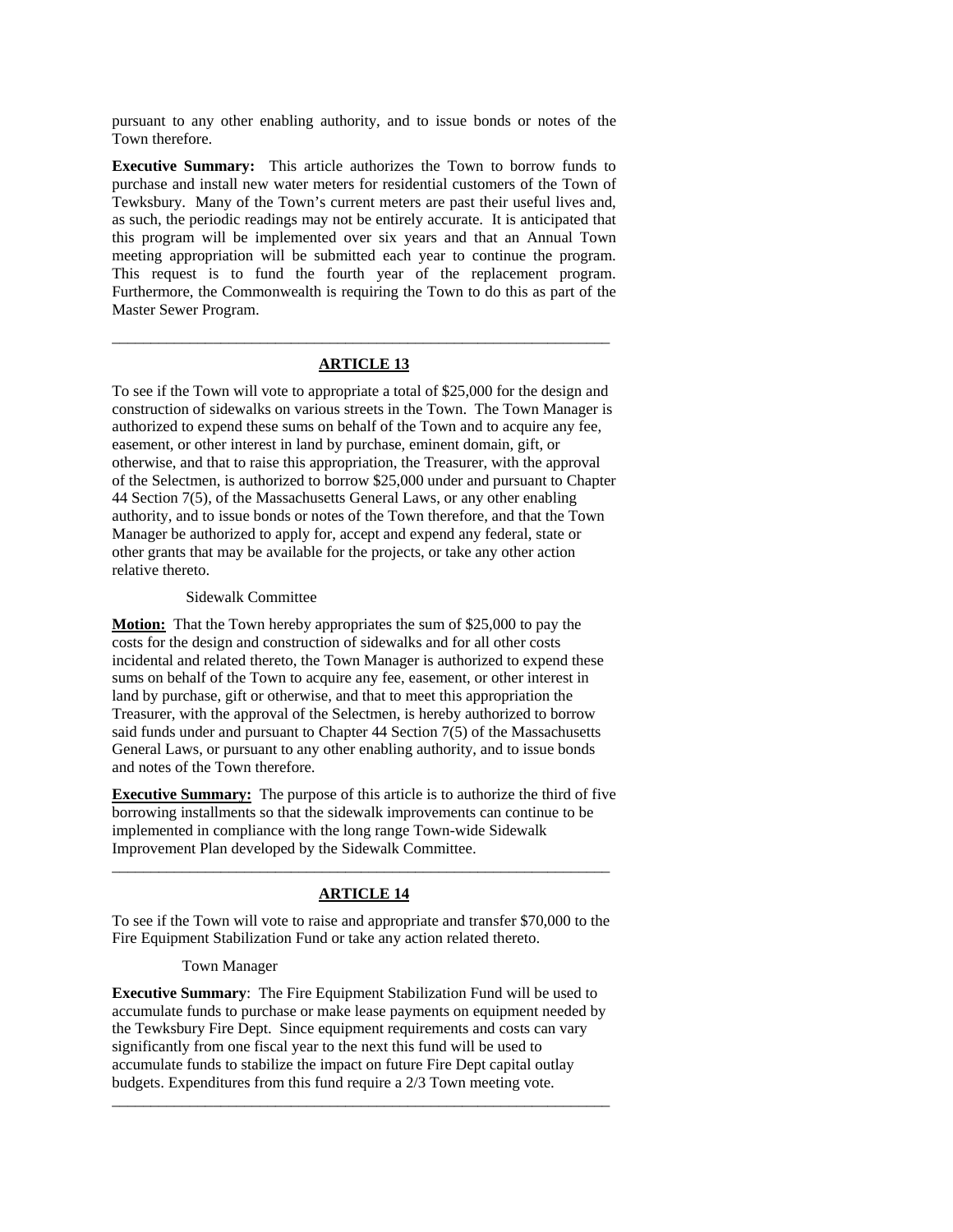pursuant to any other enabling authority, and to issue bonds or notes of the Town therefore.

**Executive Summary:** This article authorizes the Town to borrow funds to purchase and install new water meters for residential customers of the Town of Tewksbury. Many of the Town's current meters are past their useful lives and, as such, the periodic readings may not be entirely accurate. It is anticipated that this program will be implemented over six years and that an Annual Town meeting appropriation will be submitted each year to continue the program. This request is to fund the fourth year of the replacement program. Furthermore, the Commonwealth is requiring the Town to do this as part of the Master Sewer Program.

# \_\_\_\_\_\_\_\_\_\_\_\_\_\_\_\_\_\_\_\_\_\_\_\_\_\_\_\_\_\_\_\_\_\_\_\_\_\_\_\_\_\_\_\_\_\_\_\_\_\_\_\_\_\_\_\_\_\_\_\_\_\_\_\_ **ARTICLE 13**

To see if the Town will vote to appropriate a total of \$25,000 for the design and construction of sidewalks on various streets in the Town. The Town Manager is authorized to expend these sums on behalf of the Town and to acquire any fee, easement, or other interest in land by purchase, eminent domain, gift, or otherwise, and that to raise this appropriation, the Treasurer, with the approval of the Selectmen, is authorized to borrow \$25,000 under and pursuant to Chapter 44 Section 7(5), of the Massachusetts General Laws, or any other enabling authority, and to issue bonds or notes of the Town therefore, and that the Town Manager be authorized to apply for, accept and expend any federal, state or other grants that may be available for the projects, or take any other action relative thereto.

### Sidewalk Committee

**Motion:** That the Town hereby appropriates the sum of \$25,000 to pay the costs for the design and construction of sidewalks and for all other costs incidental and related thereto, the Town Manager is authorized to expend these sums on behalf of the Town to acquire any fee, easement, or other interest in land by purchase, gift or otherwise, and that to meet this appropriation the Treasurer, with the approval of the Selectmen, is hereby authorized to borrow said funds under and pursuant to Chapter 44 Section 7(5) of the Massachusetts General Laws, or pursuant to any other enabling authority, and to issue bonds and notes of the Town therefore.

**Executive Summary:** The purpose of this article is to authorize the third of five borrowing installments so that the sidewalk improvements can continue to be implemented in compliance with the long range Town-wide Sidewalk Improvement Plan developed by the Sidewalk Committee.

# \_\_\_\_\_\_\_\_\_\_\_\_\_\_\_\_\_\_\_\_\_\_\_\_\_\_\_\_\_\_\_\_\_\_\_\_\_\_\_\_\_\_\_\_\_\_\_\_\_\_\_\_\_\_\_\_\_\_\_\_\_\_\_\_ **ARTICLE 14**

To see if the Town will vote to raise and appropriate and transfer \$70,000 to the Fire Equipment Stabilization Fund or take any action related thereto.

### Town Manager

**Executive Summary**: The Fire Equipment Stabilization Fund will be used to accumulate funds to purchase or make lease payments on equipment needed by the Tewksbury Fire Dept. Since equipment requirements and costs can vary significantly from one fiscal year to the next this fund will be used to accumulate funds to stabilize the impact on future Fire Dept capital outlay budgets. Expenditures from this fund require a 2/3 Town meeting vote.

\_\_\_\_\_\_\_\_\_\_\_\_\_\_\_\_\_\_\_\_\_\_\_\_\_\_\_\_\_\_\_\_\_\_\_\_\_\_\_\_\_\_\_\_\_\_\_\_\_\_\_\_\_\_\_\_\_\_\_\_\_\_\_\_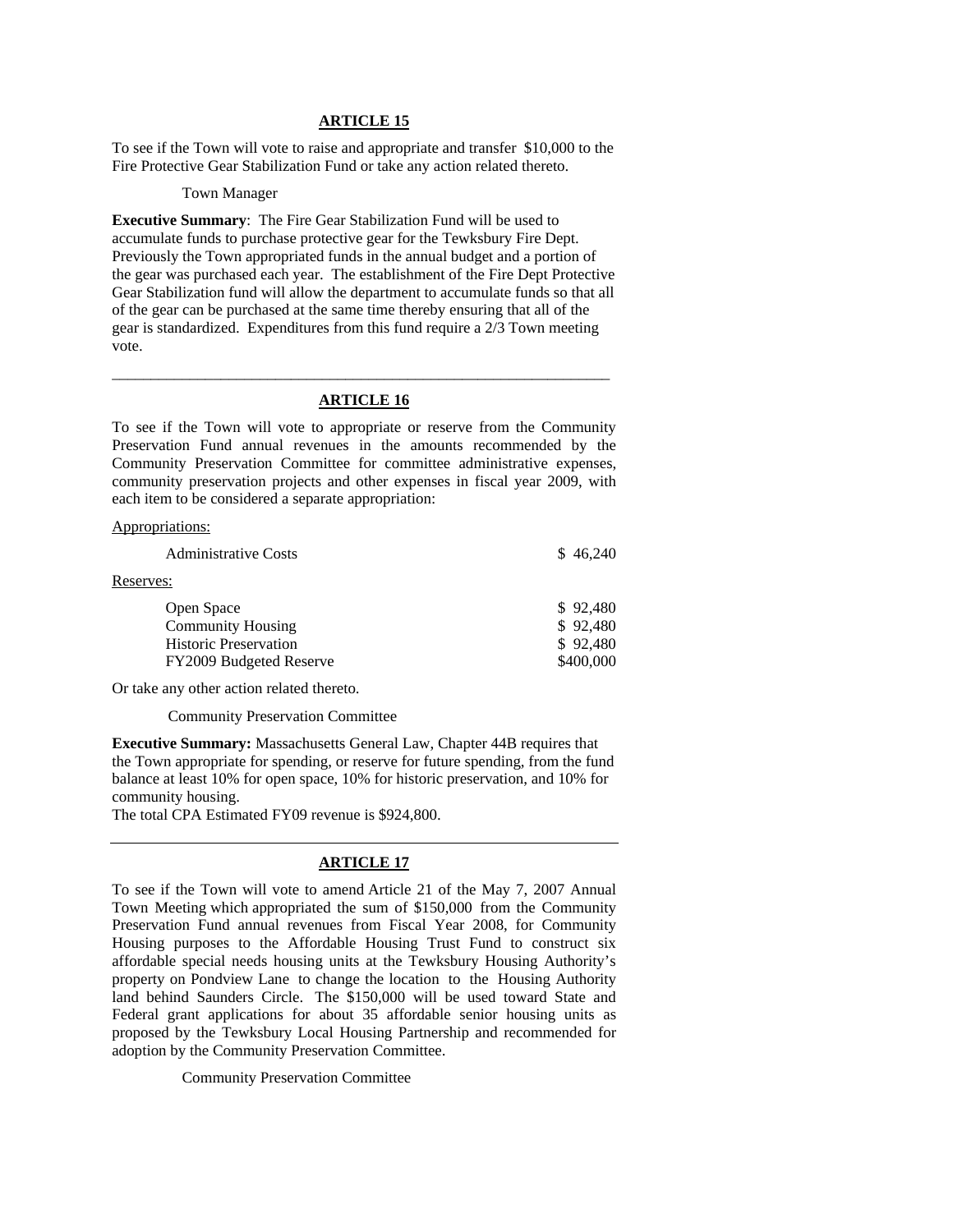To see if the Town will vote to raise and appropriate and transfer \$10,000 to the Fire Protective Gear Stabilization Fund or take any action related thereto.

#### Town Manager

**Executive Summary**: The Fire Gear Stabilization Fund will be used to accumulate funds to purchase protective gear for the Tewksbury Fire Dept. Previously the Town appropriated funds in the annual budget and a portion of the gear was purchased each year. The establishment of the Fire Dept Protective Gear Stabilization fund will allow the department to accumulate funds so that all of the gear can be purchased at the same time thereby ensuring that all of the gear is standardized. Expenditures from this fund require a 2/3 Town meeting vote.

# \_\_\_\_\_\_\_\_\_\_\_\_\_\_\_\_\_\_\_\_\_\_\_\_\_\_\_\_\_\_\_\_\_\_\_\_\_\_\_\_\_\_\_\_\_\_\_\_\_\_\_\_\_\_\_\_\_\_\_\_\_\_\_\_ **ARTICLE 16**

To see if the Town will vote to appropriate or reserve from the Community Preservation Fund annual revenues in the amounts recommended by the Community Preservation Committee for committee administrative expenses, community preservation projects and other expenses in fiscal year 2009, with each item to be considered a separate appropriation:

#### Appropriations:

| <b>Administrative Costs</b>                                                                       | \$46,240                                      |
|---------------------------------------------------------------------------------------------------|-----------------------------------------------|
| Reserves:                                                                                         |                                               |
| Open Space<br><b>Community Housing</b><br><b>Historic Preservation</b><br>FY2009 Budgeted Reserve | \$92,480<br>\$92,480<br>\$92,480<br>\$400,000 |

Or take any other action related thereto.

Community Preservation Committee

**Executive Summary:** Massachusetts General Law, Chapter 44B requires that the Town appropriate for spending, or reserve for future spending, from the fund balance at least 10% for open space, 10% for historic preservation, and 10% for community housing.

The total CPA Estimated FY09 revenue is \$924,800.

### **ARTICLE 17**

To see if the Town will vote to amend Article 21 of the May 7, 2007 Annual Town Meeting which appropriated the sum of \$150,000 from the Community Preservation Fund annual revenues from Fiscal Year 2008, for Community Housing purposes to the Affordable Housing Trust Fund to construct six affordable special needs housing units at the Tewksbury Housing Authority's property on Pondview Lane to change the location to the Housing Authority land behind Saunders Circle. The \$150,000 will be used toward State and Federal grant applications for about 35 affordable senior housing units as proposed by the Tewksbury Local Housing Partnership and recommended for adoption by the Community Preservation Committee.

Community Preservation Committee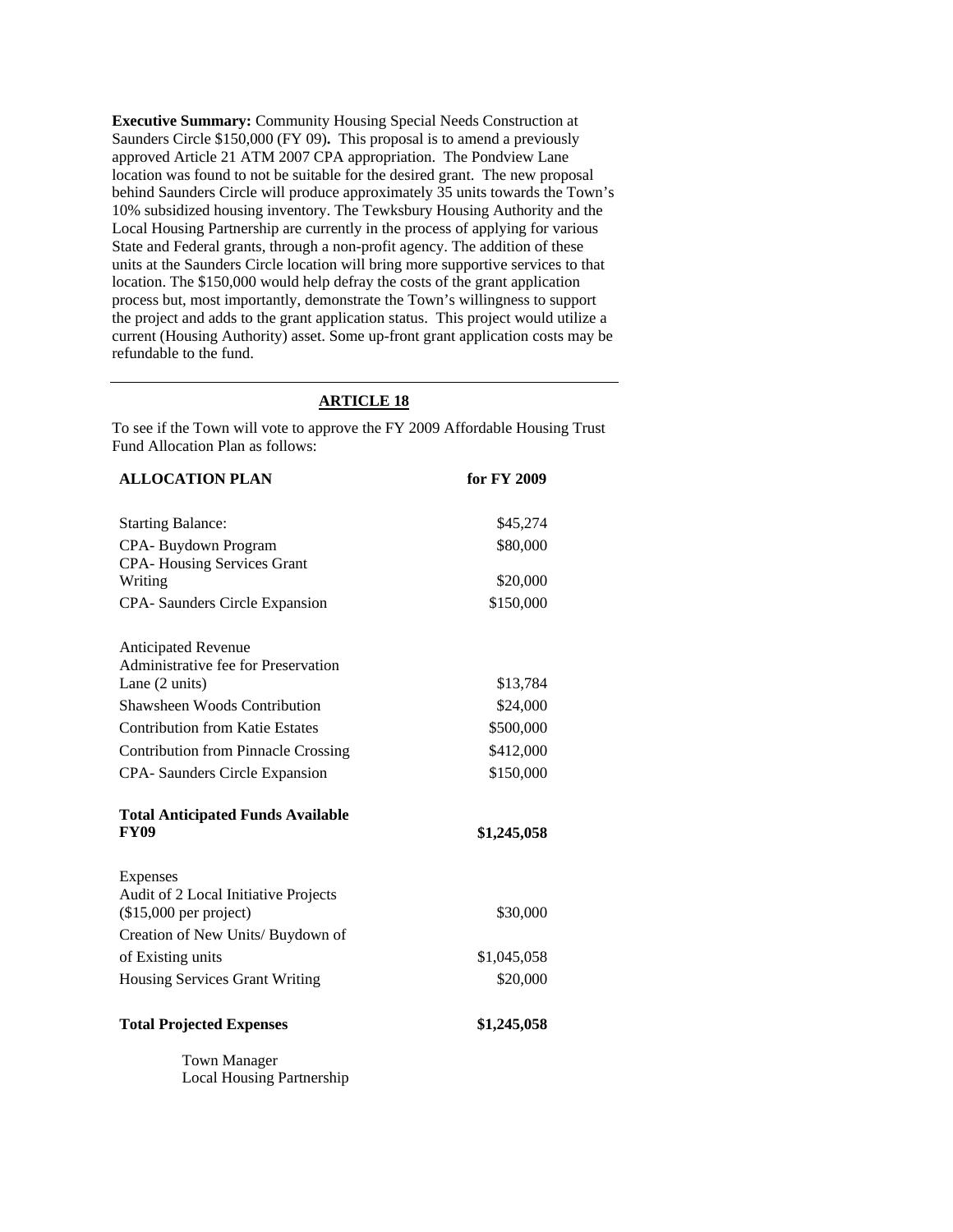**Executive Summary:** Community Housing Special Needs Construction at Saunders Circle \$150,000 (FY 09)**.** This proposal is to amend a previously approved Article 21 ATM 2007 CPA appropriation. The Pondview Lane location was found to not be suitable for the desired grant. The new proposal behind Saunders Circle will produce approximately 35 units towards the Town's 10% subsidized housing inventory. The Tewksbury Housing Authority and the Local Housing Partnership are currently in the process of applying for various State and Federal grants, through a non-profit agency. The addition of these units at the Saunders Circle location will bring more supportive services to that location. The \$150,000 would help defray the costs of the grant application process but, most importantly, demonstrate the Town's willingness to support the project and adds to the grant application status. This project would utilize a current (Housing Authority) asset. Some up-front grant application costs may be refundable to the fund.

## **ARTICLE 18**

To see if the Town will vote to approve the FY 2009 Affordable Housing Trust Fund Allocation Plan as follows:

| <b>ALLOCATION PLAN</b>                                  | for FY 2009 |
|---------------------------------------------------------|-------------|
|                                                         |             |
| <b>Starting Balance:</b>                                | \$45,274    |
| CPA-Buydown Program                                     | \$80,000    |
| <b>CPA-Housing Services Grant</b>                       |             |
| Writing                                                 | \$20,000    |
| CPA- Saunders Circle Expansion                          | \$150,000   |
| <b>Anticipated Revenue</b>                              |             |
| Administrative fee for Preservation                     |             |
| Lane (2 units)                                          | \$13,784    |
| Shawsheen Woods Contribution                            | \$24,000    |
| <b>Contribution from Katie Estates</b>                  | \$500,000   |
| <b>Contribution from Pinnacle Crossing</b>              | \$412,000   |
| CPA- Saunders Circle Expansion                          | \$150,000   |
|                                                         |             |
| <b>Total Anticipated Funds Available</b><br><b>FY09</b> | \$1,245,058 |
|                                                         |             |
| Expenses                                                |             |
| Audit of 2 Local Initiative Projects                    |             |
| $($15,000$ per project)                                 | \$30,000    |
| Creation of New Units/ Buydown of                       |             |
| of Existing units                                       | \$1,045,058 |
| <b>Housing Services Grant Writing</b>                   | \$20,000    |
| <b>Total Projected Expenses</b>                         | \$1,245,058 |
| <b>Town Manager</b>                                     |             |
| <b>Local Housing Partnership</b>                        |             |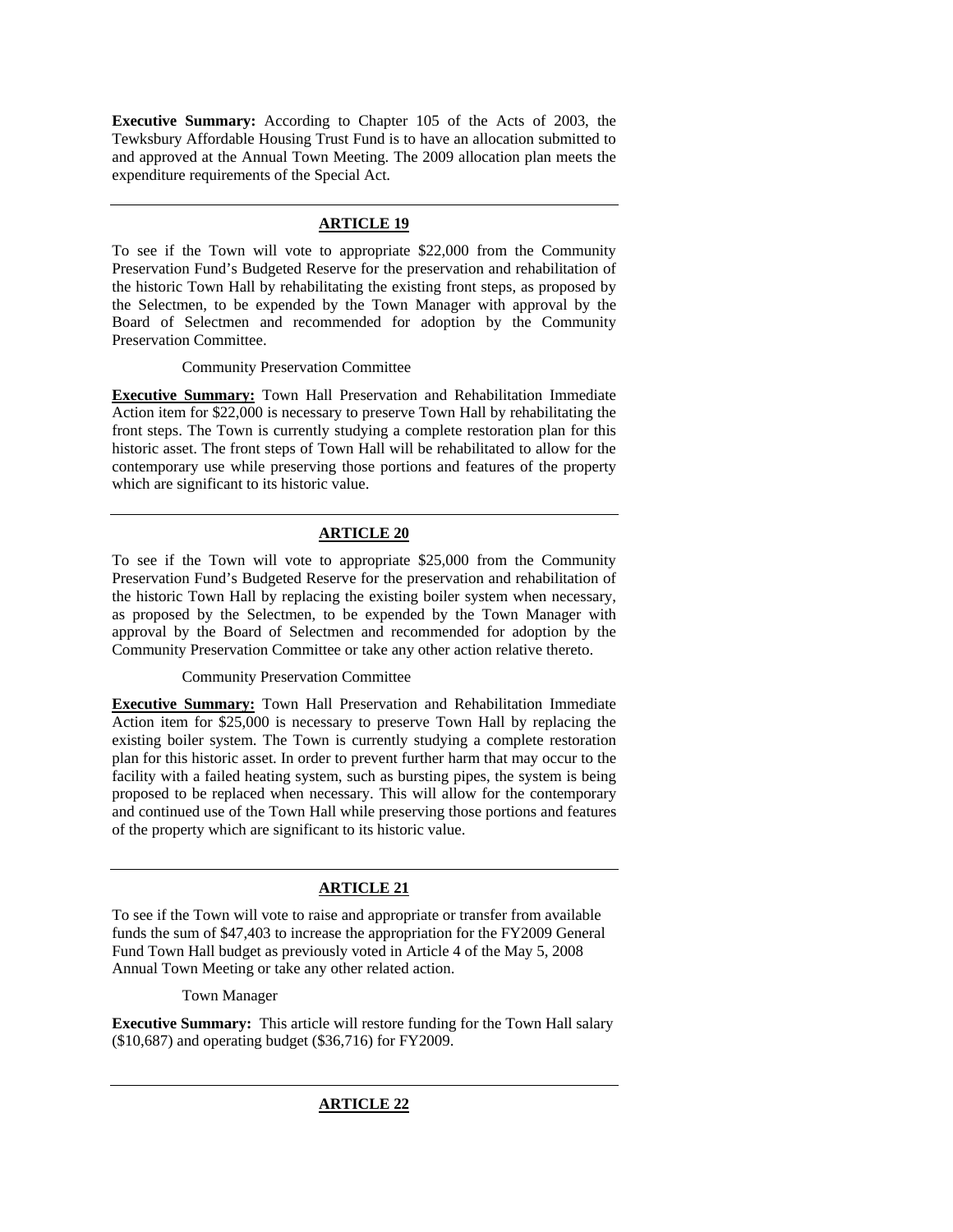**Executive Summary:** According to Chapter 105 of the Acts of 2003, the Tewksbury Affordable Housing Trust Fund is to have an allocation submitted to and approved at the Annual Town Meeting. The 2009 allocation plan meets the expenditure requirements of the Special Act.

## **ARTICLE 19**

To see if the Town will vote to appropriate \$22,000 from the Community Preservation Fund's Budgeted Reserve for the preservation and rehabilitation of the historic Town Hall by rehabilitating the existing front steps, as proposed by the Selectmen, to be expended by the Town Manager with approval by the Board of Selectmen and recommended for adoption by the Community Preservation Committee.

Community Preservation Committee

**Executive Summary:** Town Hall Preservation and Rehabilitation Immediate Action item for \$22,000 is necessary to preserve Town Hall by rehabilitating the front steps. The Town is currently studying a complete restoration plan for this historic asset. The front steps of Town Hall will be rehabilitated to allow for the contemporary use while preserving those portions and features of the property which are significant to its historic value.

## **ARTICLE 20**

To see if the Town will vote to appropriate \$25,000 from the Community Preservation Fund's Budgeted Reserve for the preservation and rehabilitation of the historic Town Hall by replacing the existing boiler system when necessary, as proposed by the Selectmen, to be expended by the Town Manager with approval by the Board of Selectmen and recommended for adoption by the Community Preservation Committee or take any other action relative thereto.

Community Preservation Committee

**Executive Summary:** Town Hall Preservation and Rehabilitation Immediate Action item for \$25,000 is necessary to preserve Town Hall by replacing the existing boiler system. The Town is currently studying a complete restoration plan for this historic asset. In order to prevent further harm that may occur to the facility with a failed heating system, such as bursting pipes, the system is being proposed to be replaced when necessary. This will allow for the contemporary and continued use of the Town Hall while preserving those portions and features of the property which are significant to its historic value.

## **ARTICLE 21**

To see if the Town will vote to raise and appropriate or transfer from available funds the sum of \$47,403 to increase the appropriation for the FY2009 General Fund Town Hall budget as previously voted in Article 4 of the May 5, 2008 Annual Town Meeting or take any other related action.

Town Manager

**Executive Summary:** This article will restore funding for the Town Hall salary (\$10,687) and operating budget (\$36,716) for FY2009.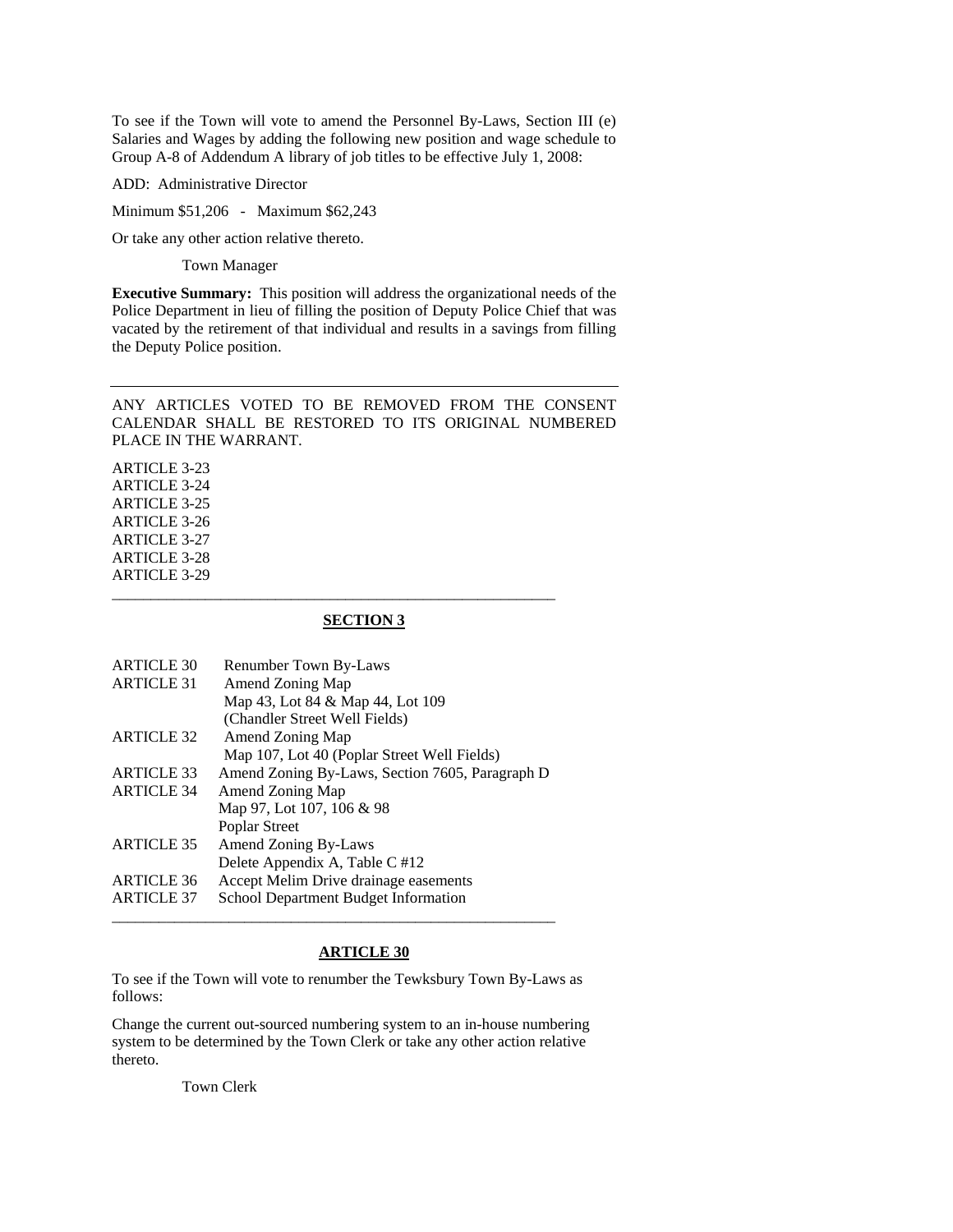To see if the Town will vote to amend the Personnel By-Laws, Section III (e) Salaries and Wages by adding the following new position and wage schedule to Group A-8 of Addendum A library of job titles to be effective July 1, 2008:

ADD: Administrative Director

Minimum \$51,206 - Maximum \$62,243

Or take any other action relative thereto.

Town Manager

**Executive Summary:** This position will address the organizational needs of the Police Department in lieu of filling the position of Deputy Police Chief that was vacated by the retirement of that individual and results in a savings from filling the Deputy Police position.

ANY ARTICLES VOTED TO BE REMOVED FROM THE CONSENT CALENDAR SHALL BE RESTORED TO ITS ORIGINAL NUMBERED PLACE IN THE WARRANT.

ARTICLE 3-23 ARTICLE 3-24 ARTICLE 3-25 ARTICLE 3-26 ARTICLE 3-27 ARTICLE 3-28 ARTICLE 3-29

### **SECTION 3**

\_\_\_\_\_\_\_\_\_\_\_\_\_\_\_\_\_\_\_\_\_\_\_\_\_\_\_\_\_\_\_\_\_\_\_\_\_\_\_\_\_\_\_\_\_\_\_\_\_\_\_\_\_\_\_\_\_

| <b>ARTICLE 30</b> | <b>Renumber Town By-Laws</b>                    |
|-------------------|-------------------------------------------------|
| <b>ARTICLE 31</b> | Amend Zoning Map                                |
|                   | Map 43, Lot 84 & Map 44, Lot 109                |
|                   | (Chandler Street Well Fields)                   |
| <b>ARTICLE 32</b> | Amend Zoning Map                                |
|                   | Map 107, Lot 40 (Poplar Street Well Fields)     |
| <b>ARTICLE 33</b> | Amend Zoning By-Laws, Section 7605, Paragraph D |
| <b>ARTICLE 34</b> | Amend Zoning Map                                |
|                   | Map 97, Lot 107, 106 & 98                       |
|                   | Poplar Street                                   |
| <b>ARTICLE 35</b> | Amend Zoning By-Laws                            |
|                   | Delete Appendix A, Table C #12                  |
| <b>ARTICLE 36</b> | Accept Melim Drive drainage easements           |
| <b>ARTICLE 37</b> | School Department Budget Information            |
|                   |                                                 |

#### **ARTICLE 30**

To see if the Town will vote to renumber the Tewksbury Town By-Laws as follows:

Change the current out-sourced numbering system to an in-house numbering system to be determined by the Town Clerk or take any other action relative thereto.

Town Clerk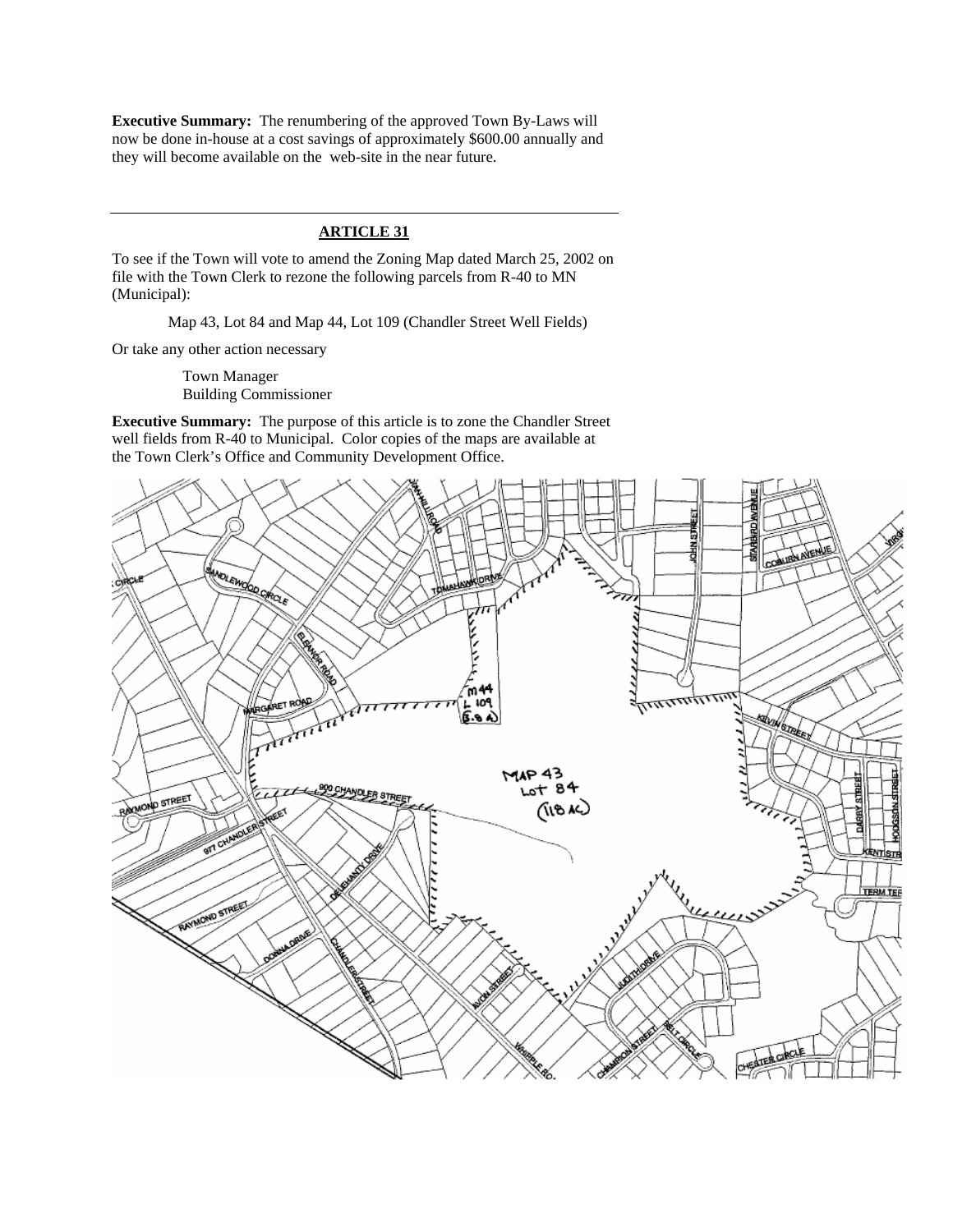**Executive Summary:** The renumbering of the approved Town By-Laws will now be done in-house at a cost savings of approximately \$600.00 annually and they will become available on the web-site in the near future.

## **ARTICLE 31**

To see if the Town will vote to amend the Zoning Map dated March 25, 2002 on file with the Town Clerk to rezone the following parcels from R-40 to MN (Municipal):

Map 43, Lot 84 and Map 44, Lot 109 (Chandler Street Well Fields)

Or take any other action necessary

Town Manager Building Commissioner

**Executive Summary:** The purpose of this article is to zone the Chandler Street well fields from R-40 to Municipal. Color copies of the maps are available at the Town Clerk's Office and Community Development Office.

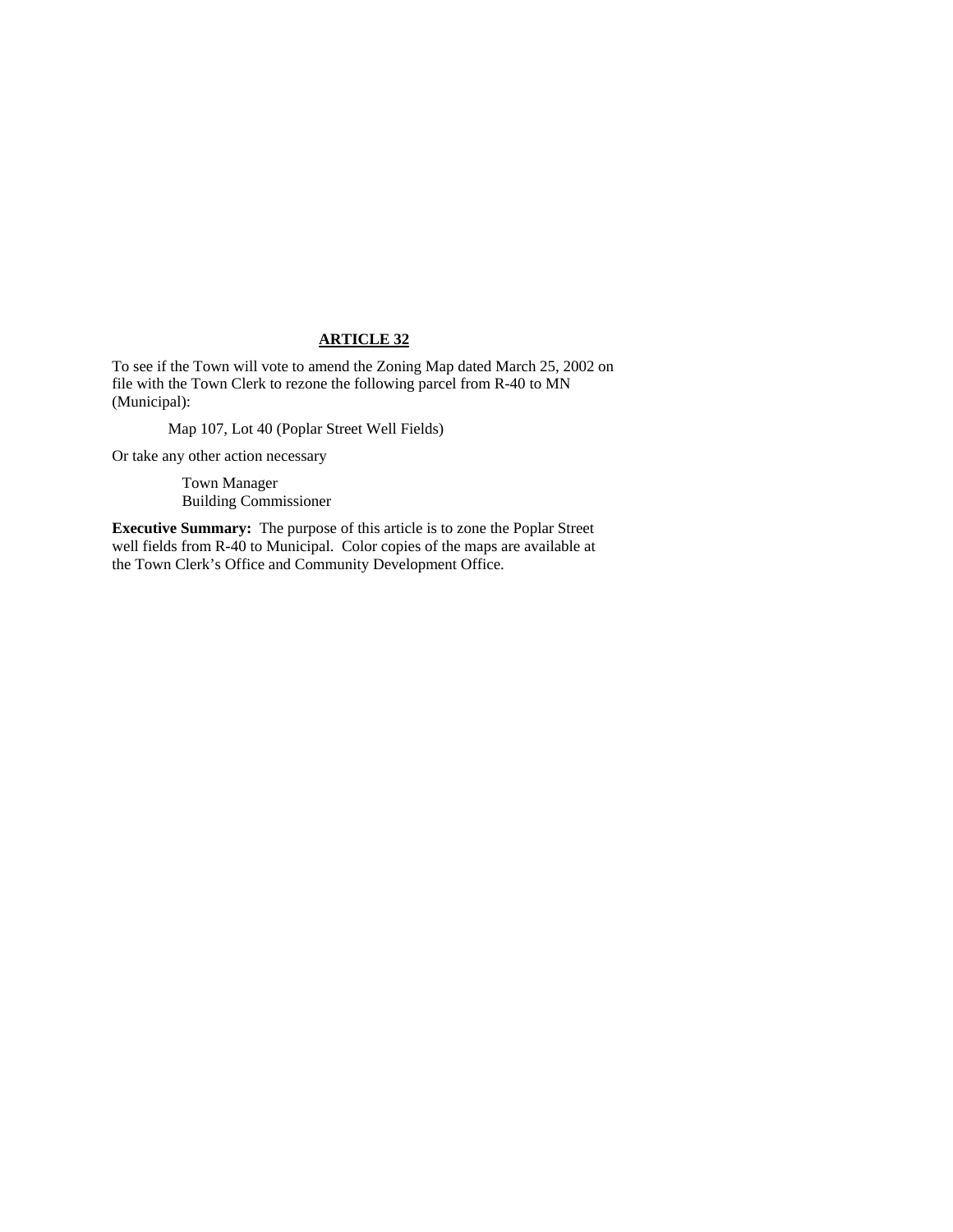To see if the Town will vote to amend the Zoning Map dated March 25, 2002 on file with the Town Clerk to rezone the following parcel from R-40 to MN (Municipal):

Map 107, Lot 40 (Poplar Street Well Fields)

Or take any other action necessary

 Town Manager Building Commissioner

**Executive Summary:** The purpose of this article is to zone the Poplar Street well fields from R-40 to Municipal. Color copies of the maps are available at the Town Clerk's Office and Community Development Office.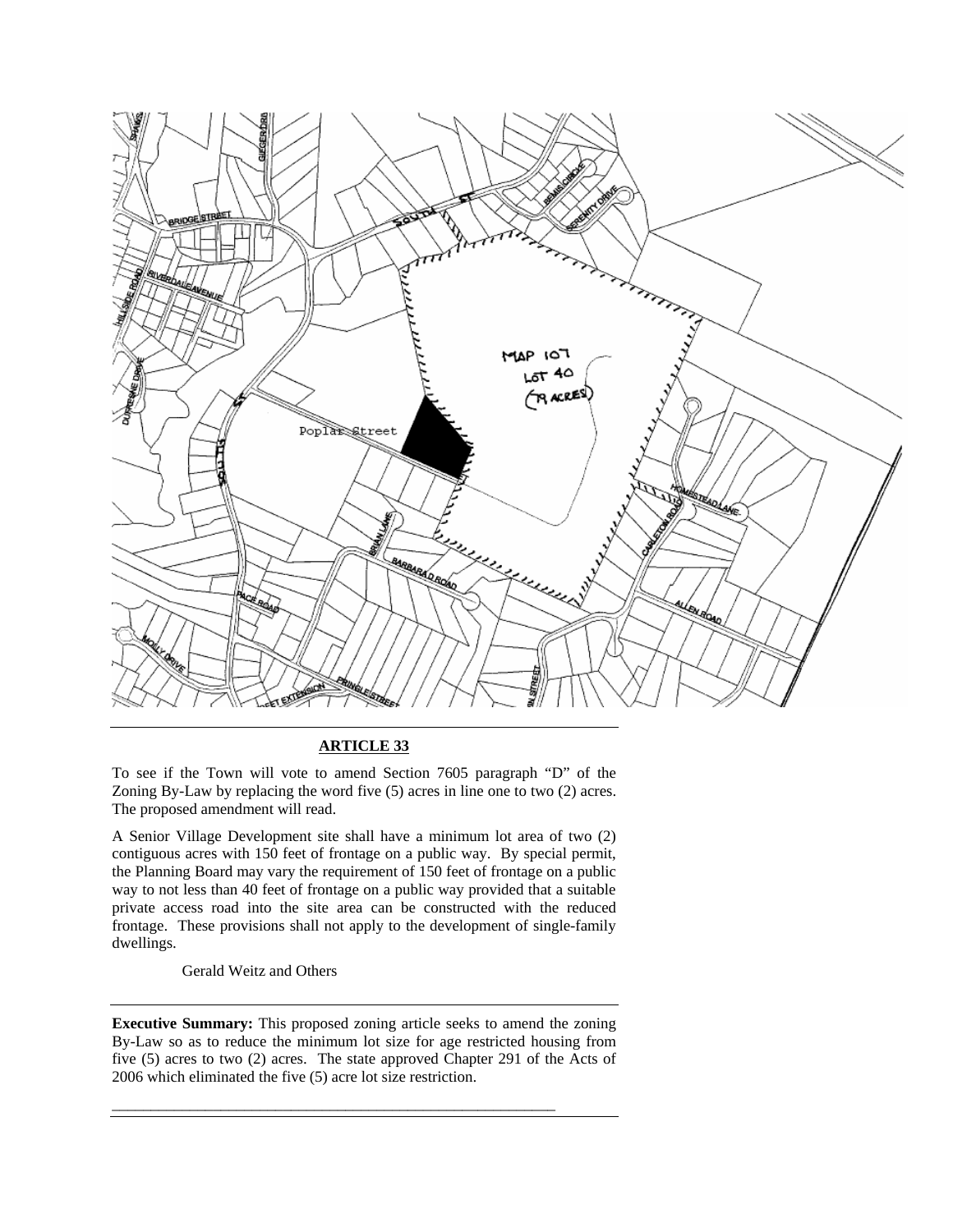

To see if the Town will vote to amend Section 7605 paragraph "D" of the Zoning By-Law by replacing the word five (5) acres in line one to two (2) acres. The proposed amendment will read.

A Senior Village Development site shall have a minimum lot area of two (2) contiguous acres with 150 feet of frontage on a public way. By special permit, the Planning Board may vary the requirement of 150 feet of frontage on a public way to not less than 40 feet of frontage on a public way provided that a suitable private access road into the site area can be constructed with the reduced frontage. These provisions shall not apply to the development of single-family dwellings.

Gerald Weitz and Others

**Executive Summary:** This proposed zoning article seeks to amend the zoning By-Law so as to reduce the minimum lot size for age restricted housing from five (5) acres to two (2) acres. The state approved Chapter 291 of the Acts of 2006 which eliminated the five (5) acre lot size restriction.

\_\_\_\_\_\_\_\_\_\_\_\_\_\_\_\_\_\_\_\_\_\_\_\_\_\_\_\_\_\_\_\_\_\_\_\_\_\_\_\_\_\_\_\_\_\_\_\_\_\_\_\_\_\_\_\_\_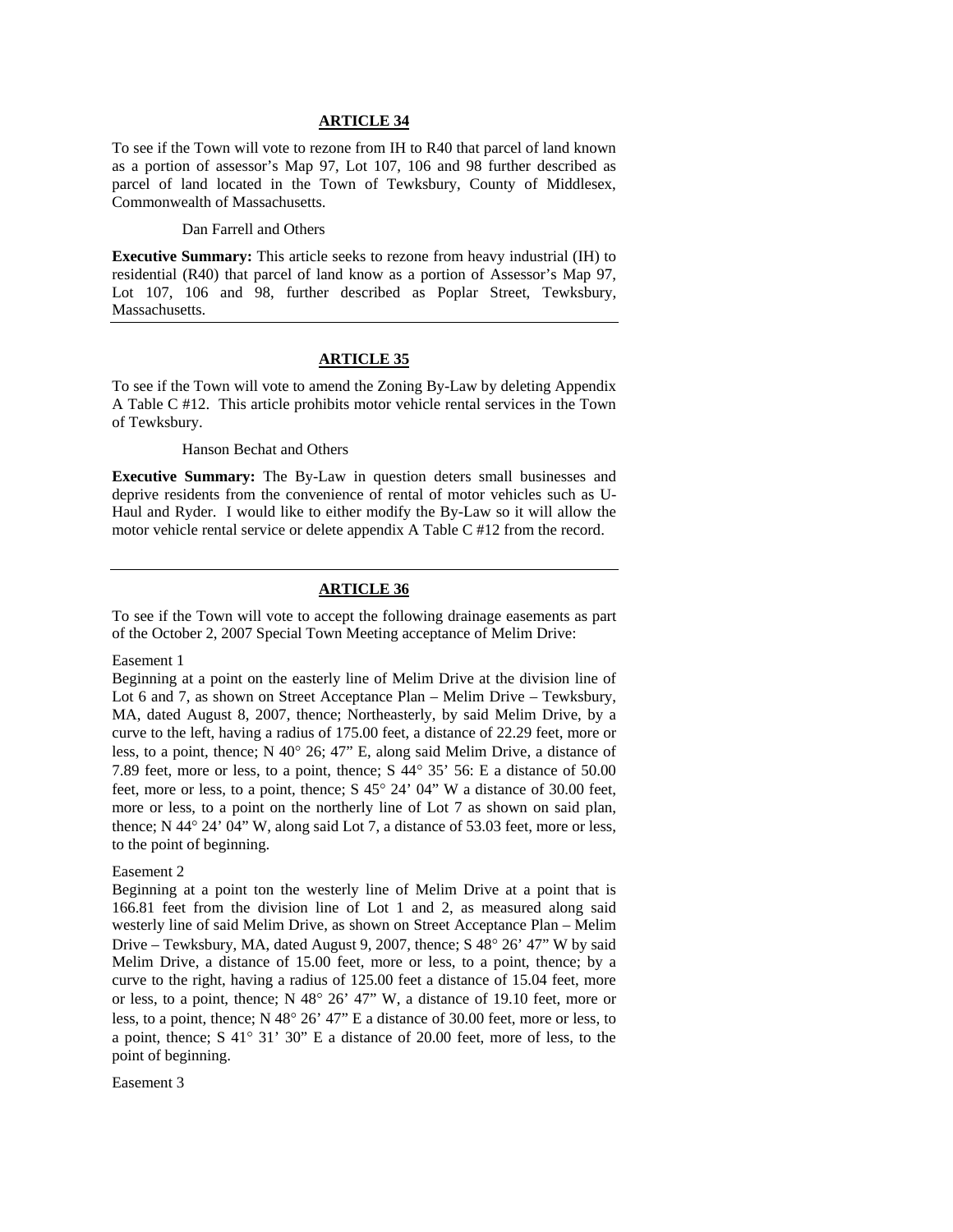To see if the Town will vote to rezone from IH to R40 that parcel of land known as a portion of assessor's Map 97, Lot 107, 106 and 98 further described as parcel of land located in the Town of Tewksbury, County of Middlesex, Commonwealth of Massachusetts.

#### Dan Farrell and Others

**Executive Summary:** This article seeks to rezone from heavy industrial (IH) to residential (R40) that parcel of land know as a portion of Assessor's Map 97, Lot 107, 106 and 98, further described as Poplar Street, Tewksbury, Massachusetts.

### **ARTICLE 35**

To see if the Town will vote to amend the Zoning By-Law by deleting Appendix A Table C #12. This article prohibits motor vehicle rental services in the Town of Tewksbury.

#### Hanson Bechat and Others

**Executive Summary:** The By-Law in question deters small businesses and deprive residents from the convenience of rental of motor vehicles such as U-Haul and Ryder. I would like to either modify the By-Law so it will allow the motor vehicle rental service or delete appendix A Table C #12 from the record.

## **ARTICLE 36**

To see if the Town will vote to accept the following drainage easements as part of the October 2, 2007 Special Town Meeting acceptance of Melim Drive:

#### Easement 1

Beginning at a point on the easterly line of Melim Drive at the division line of Lot 6 and 7, as shown on Street Acceptance Plan – Melim Drive – Tewksbury, MA, dated August 8, 2007, thence; Northeasterly, by said Melim Drive, by a curve to the left, having a radius of 175.00 feet, a distance of 22.29 feet, more or less, to a point, thence; N 40° 26; 47" E, along said Melim Drive, a distance of 7.89 feet, more or less, to a point, thence; S 44° 35' 56: E a distance of 50.00 feet, more or less, to a point, thence; S 45° 24' 04" W a distance of 30.00 feet, more or less, to a point on the northerly line of Lot 7 as shown on said plan, thence; N 44° 24' 04" W, along said Lot 7, a distance of 53.03 feet, more or less, to the point of beginning.

### Easement 2

Beginning at a point ton the westerly line of Melim Drive at a point that is 166.81 feet from the division line of Lot 1 and 2, as measured along said westerly line of said Melim Drive, as shown on Street Acceptance Plan – Melim Drive – Tewksbury, MA, dated August 9, 2007, thence; S 48° 26' 47" W by said Melim Drive, a distance of 15.00 feet, more or less, to a point, thence; by a curve to the right, having a radius of 125.00 feet a distance of 15.04 feet, more or less, to a point, thence; N 48° 26' 47" W, a distance of 19.10 feet, more or less, to a point, thence; N 48° 26' 47" E a distance of 30.00 feet, more or less, to a point, thence; S 41° 31' 30" E a distance of 20.00 feet, more of less, to the point of beginning.

#### Easement 3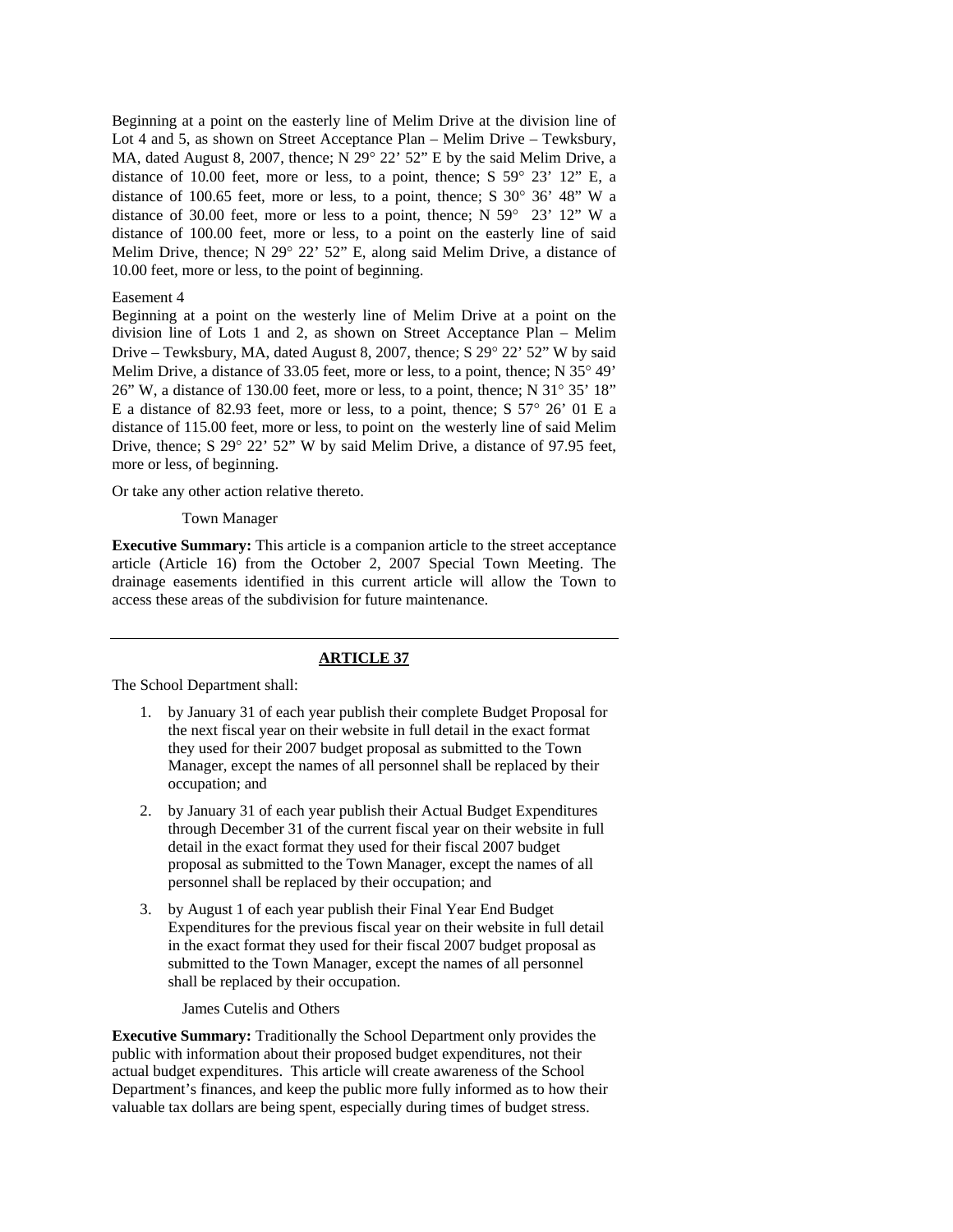Beginning at a point on the easterly line of Melim Drive at the division line of Lot 4 and 5, as shown on Street Acceptance Plan – Melim Drive – Tewksbury, MA, dated August 8, 2007, thence; N 29° 22' 52" E by the said Melim Drive, a distance of 10.00 feet, more or less, to a point, thence; S 59° 23' 12" E, a distance of 100.65 feet, more or less, to a point, thence; S 30° 36' 48" W a distance of 30.00 feet, more or less to a point, thence; N 59° 23' 12" W a distance of 100.00 feet, more or less, to a point on the easterly line of said Melim Drive, thence; N 29° 22' 52" E, along said Melim Drive, a distance of 10.00 feet, more or less, to the point of beginning.

#### Easement 4

Beginning at a point on the westerly line of Melim Drive at a point on the division line of Lots 1 and 2, as shown on Street Acceptance Plan – Melim Drive – Tewksbury, MA, dated August 8, 2007, thence; S 29° 22' 52" W by said Melim Drive, a distance of 33.05 feet, more or less, to a point, thence; N 35° 49' 26" W, a distance of 130.00 feet, more or less, to a point, thence; N 31° 35' 18" E a distance of 82.93 feet, more or less, to a point, thence; S 57° 26' 01 E a distance of 115.00 feet, more or less, to point on the westerly line of said Melim Drive, thence; S 29° 22' 52" W by said Melim Drive, a distance of 97.95 feet, more or less, of beginning.

Or take any other action relative thereto.

#### Town Manager

**Executive Summary:** This article is a companion article to the street acceptance article (Article 16) from the October 2, 2007 Special Town Meeting. The drainage easements identified in this current article will allow the Town to access these areas of the subdivision for future maintenance.

### **ARTICLE 37**

The School Department shall:

- 1. by January 31 of each year publish their complete Budget Proposal for the next fiscal year on their website in full detail in the exact format they used for their 2007 budget proposal as submitted to the Town Manager, except the names of all personnel shall be replaced by their occupation; and
- 2. by January 31 of each year publish their Actual Budget Expenditures through December 31 of the current fiscal year on their website in full detail in the exact format they used for their fiscal 2007 budget proposal as submitted to the Town Manager, except the names of all personnel shall be replaced by their occupation; and
- 3. by August 1 of each year publish their Final Year End Budget Expenditures for the previous fiscal year on their website in full detail in the exact format they used for their fiscal 2007 budget proposal as submitted to the Town Manager, except the names of all personnel shall be replaced by their occupation.

### James Cutelis and Others

**Executive Summary:** Traditionally the School Department only provides the public with information about their proposed budget expenditures, not their actual budget expenditures. This article will create awareness of the School Department's finances, and keep the public more fully informed as to how their valuable tax dollars are being spent, especially during times of budget stress.